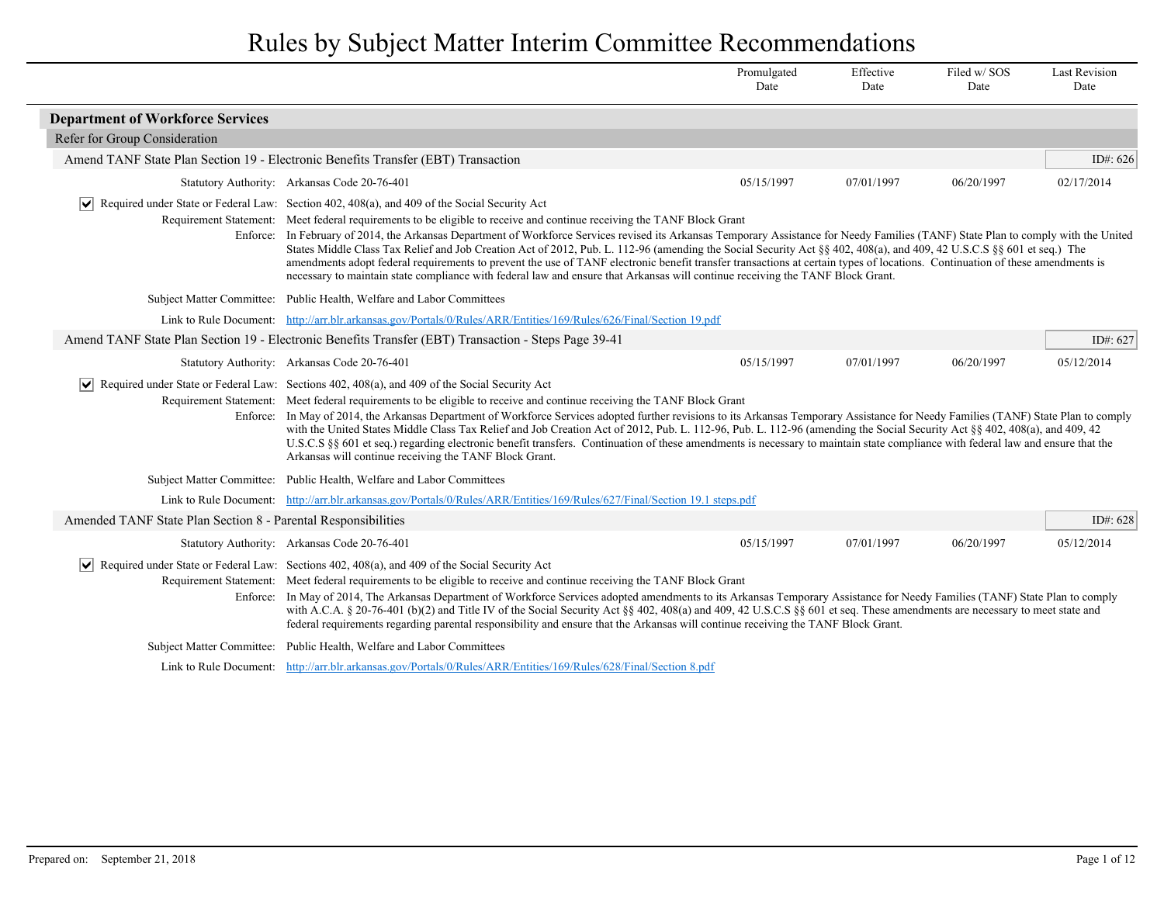|                                                               |                                                                                                                                                                                                                                                                                                                                                                                                                                                                                                                                                                                                                                                                                                                                                                                                                                                                                                           | Promulgated<br>Date | Effective<br>Date | Filed w/SOS<br>Date | <b>Last Revision</b><br>Date |
|---------------------------------------------------------------|-----------------------------------------------------------------------------------------------------------------------------------------------------------------------------------------------------------------------------------------------------------------------------------------------------------------------------------------------------------------------------------------------------------------------------------------------------------------------------------------------------------------------------------------------------------------------------------------------------------------------------------------------------------------------------------------------------------------------------------------------------------------------------------------------------------------------------------------------------------------------------------------------------------|---------------------|-------------------|---------------------|------------------------------|
| <b>Department of Workforce Services</b>                       |                                                                                                                                                                                                                                                                                                                                                                                                                                                                                                                                                                                                                                                                                                                                                                                                                                                                                                           |                     |                   |                     |                              |
| Refer for Group Consideration                                 |                                                                                                                                                                                                                                                                                                                                                                                                                                                                                                                                                                                                                                                                                                                                                                                                                                                                                                           |                     |                   |                     |                              |
|                                                               | Amend TANF State Plan Section 19 - Electronic Benefits Transfer (EBT) Transaction                                                                                                                                                                                                                                                                                                                                                                                                                                                                                                                                                                                                                                                                                                                                                                                                                         |                     |                   |                     | ID#: $626$                   |
|                                                               | Statutory Authority: Arkansas Code 20-76-401                                                                                                                                                                                                                                                                                                                                                                                                                                                                                                                                                                                                                                                                                                                                                                                                                                                              | 05/15/1997          | 07/01/1997        | 06/20/1997          | 02/17/2014                   |
| $ \mathbf{v} $                                                | Required under State or Federal Law: Section 402, 408(a), and 409 of the Social Security Act<br>Requirement Statement: Meet federal requirements to be eligible to receive and continue receiving the TANF Block Grant<br>Enforce: In February of 2014, the Arkansas Department of Workforce Services revised its Arkansas Temporary Assistance for Needy Families (TANF) State Plan to comply with the United<br>States Middle Class Tax Relief and Job Creation Act of 2012, Pub. L. 112-96 (amending the Social Security Act §§ 402, 408(a), and 409, 42 U.S.C.S §§ 601 et seq.) The<br>amendments adopt federal requirements to prevent the use of TANF electronic benefit transfer transactions at certain types of locations. Continuation of these amendments is<br>necessary to maintain state compliance with federal law and ensure that Arkansas will continue receiving the TANF Block Grant. |                     |                   |                     |                              |
|                                                               | Subject Matter Committee: Public Health, Welfare and Labor Committees                                                                                                                                                                                                                                                                                                                                                                                                                                                                                                                                                                                                                                                                                                                                                                                                                                     |                     |                   |                     |                              |
|                                                               | Link to Rule Document: http://arr.blr.arkansas.gov/Portals/0/Rules/ARR/Entities/169/Rules/626/Final/Section 19.pdf                                                                                                                                                                                                                                                                                                                                                                                                                                                                                                                                                                                                                                                                                                                                                                                        |                     |                   |                     |                              |
|                                                               | Amend TANF State Plan Section 19 - Electronic Benefits Transfer (EBT) Transaction - Steps Page 39-41                                                                                                                                                                                                                                                                                                                                                                                                                                                                                                                                                                                                                                                                                                                                                                                                      |                     |                   |                     | ID#: 627                     |
|                                                               | Statutory Authority: Arkansas Code 20-76-401                                                                                                                                                                                                                                                                                                                                                                                                                                                                                                                                                                                                                                                                                                                                                                                                                                                              | 05/15/1997          | 07/01/1997        | 06/20/1997          | 05/12/2014                   |
|                                                               | $ \mathbf{v} $ Required under State or Federal Law: Sections 402, 408(a), and 409 of the Social Security Act<br>Requirement Statement: Meet federal requirements to be eligible to receive and continue receiving the TANF Block Grant<br>Enforce: In May of 2014, the Arkansas Department of Workforce Services adopted further revisions to its Arkansas Temporary Assistance for Needy Families (TANF) State Plan to comply<br>with the United States Middle Class Tax Relief and Job Creation Act of 2012, Pub. L. 112-96, Pub. L. 112-96 (amending the Social Security Act § 402, 408(a), and 409, 42<br>U.S.C.S §§ 601 et seq.) regarding electronic benefit transfers. Continuation of these amendments is necessary to maintain state compliance with federal law and ensure that the<br>Arkansas will continue receiving the TANF Block Grant.                                                   |                     |                   |                     |                              |
|                                                               | Subject Matter Committee: Public Health, Welfare and Labor Committees                                                                                                                                                                                                                                                                                                                                                                                                                                                                                                                                                                                                                                                                                                                                                                                                                                     |                     |                   |                     |                              |
|                                                               | Link to Rule Document: http://arr.blr.arkansas.gov/Portals/0/Rules/ARR/Entities/169/Rules/627/Final/Section 19.1 steps.pdf                                                                                                                                                                                                                                                                                                                                                                                                                                                                                                                                                                                                                                                                                                                                                                                |                     |                   |                     |                              |
| Amended TANF State Plan Section 8 - Parental Responsibilities |                                                                                                                                                                                                                                                                                                                                                                                                                                                                                                                                                                                                                                                                                                                                                                                                                                                                                                           |                     |                   |                     | ID#: 628                     |
|                                                               | Statutory Authority: Arkansas Code 20-76-401                                                                                                                                                                                                                                                                                                                                                                                                                                                                                                                                                                                                                                                                                                                                                                                                                                                              | 05/15/1997          | 07/01/1997        | 06/20/1997          | 05/12/2014                   |
|                                                               | $\vert \bullet \vert$ Required under State or Federal Law: Sections 402, 408(a), and 409 of the Social Security Act<br>Requirement Statement: Meet federal requirements to be eligible to receive and continue receiving the TANF Block Grant<br>Enforce: In May of 2014, The Arkansas Department of Workforce Services adopted amendments to its Arkansas Temporary Assistance for Needy Families (TANF) State Plan to comply<br>with A.C.A. § 20-76-401 (b)(2) and Title IV of the Social Security Act §§ 402, 408(a) and 409, 42 U.S.C.S §§ 601 et seq. These amendments are necessary to meet state and<br>federal requirements regarding parental responsibility and ensure that the Arkansas will continue receiving the TANF Block Grant.                                                                                                                                                          |                     |                   |                     |                              |
|                                                               | Subject Matter Committee: Public Health, Welfare and Labor Committees                                                                                                                                                                                                                                                                                                                                                                                                                                                                                                                                                                                                                                                                                                                                                                                                                                     |                     |                   |                     |                              |
|                                                               | Link to Rule Document: http://arr.blr.arkansas.gov/Portals/0/Rules/ARR/Entities/169/Rules/628/Final/Section 8.pdf                                                                                                                                                                                                                                                                                                                                                                                                                                                                                                                                                                                                                                                                                                                                                                                         |                     |                   |                     |                              |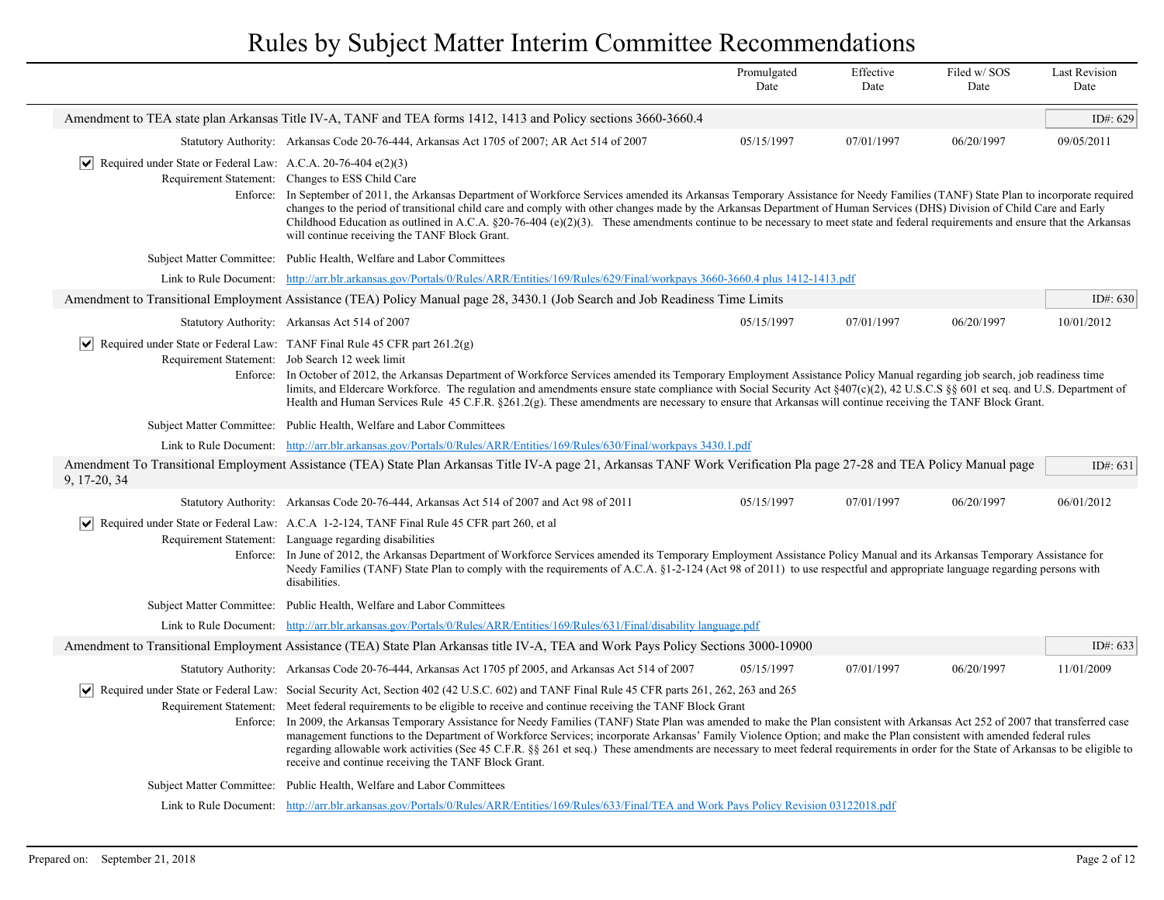|                                                                      |                                                                                                                                                                                                                                                                                                                                                                                                                                                                                                                                                                                                                                                                                                                                                                                                                                                                             | Promulgated<br>Date | Effective<br>Date | Filed w/SOS<br>Date | <b>Last Revision</b><br>Date |
|----------------------------------------------------------------------|-----------------------------------------------------------------------------------------------------------------------------------------------------------------------------------------------------------------------------------------------------------------------------------------------------------------------------------------------------------------------------------------------------------------------------------------------------------------------------------------------------------------------------------------------------------------------------------------------------------------------------------------------------------------------------------------------------------------------------------------------------------------------------------------------------------------------------------------------------------------------------|---------------------|-------------------|---------------------|------------------------------|
|                                                                      | Amendment to TEA state plan Arkansas Title IV-A, TANF and TEA forms 1412, 1413 and Policy sections 3660-3660.4                                                                                                                                                                                                                                                                                                                                                                                                                                                                                                                                                                                                                                                                                                                                                              |                     |                   |                     | ID#: 629                     |
|                                                                      | Statutory Authority: Arkansas Code 20-76-444, Arkansas Act 1705 of 2007; AR Act 514 of 2007                                                                                                                                                                                                                                                                                                                                                                                                                                                                                                                                                                                                                                                                                                                                                                                 | 05/15/1997          | 07/01/1997        | 06/20/1997          | 09/05/2011                   |
| ∣V∣<br>Required under State or Federal Law: A.C.A. 20-76-404 e(2)(3) | Requirement Statement: Changes to ESS Child Care<br>Enforce: In September of 2011, the Arkansas Department of Workforce Services amended its Arkansas Temporary Assistance for Needy Families (TANF) State Plan to incorporate required<br>changes to the period of transitional child care and comply with other changes made by the Arkansas Department of Human Services (DHS) Division of Child Care and Early<br>Childhood Education as outlined in A.C.A. §20-76-404 (e)(2)(3). These amendments continue to be necessary to meet state and federal requirements and ensure that the Arkansas<br>will continue receiving the TANF Block Grant.                                                                                                                                                                                                                        |                     |                   |                     |                              |
|                                                                      | Subject Matter Committee: Public Health, Welfare and Labor Committees                                                                                                                                                                                                                                                                                                                                                                                                                                                                                                                                                                                                                                                                                                                                                                                                       |                     |                   |                     |                              |
|                                                                      | Link to Rule Document: http://arr.blr.arkansas.gov/Portals/0/Rules/ARR/Entities/169/Rules/629/Final/workpays 3660-3660.4 plus 1412-1413.pdf                                                                                                                                                                                                                                                                                                                                                                                                                                                                                                                                                                                                                                                                                                                                 |                     |                   |                     |                              |
|                                                                      | Amendment to Transitional Employment Assistance (TEA) Policy Manual page 28, 3430.1 (Job Search and Job Readiness Time Limits                                                                                                                                                                                                                                                                                                                                                                                                                                                                                                                                                                                                                                                                                                                                               |                     |                   |                     | ID#: $630$                   |
|                                                                      | Statutory Authority: Arkansas Act 514 of 2007                                                                                                                                                                                                                                                                                                                                                                                                                                                                                                                                                                                                                                                                                                                                                                                                                               | 05/15/1997          | 07/01/1997        | 06/20/1997          | 10/01/2012                   |
| ∣V∣                                                                  | Required under State or Federal Law: TANF Final Rule 45 CFR part 261.2(g)<br>Requirement Statement: Job Search 12 week limit<br>Enforce: In October of 2012, the Arkansas Department of Workforce Services amended its Temporary Employment Assistance Policy Manual regarding job search, job readiness time<br>limits, and Eldercare Workforce. The regulation and amendments ensure state compliance with Social Security Act $\frac{8407(c)}{2}$ , 42 U.S.C.S $\frac{8}{5}$ 601 et seq. and U.S. Department of<br>Health and Human Services Rule 45 C.F.R. $\S261.2(g)$ . These amendments are necessary to ensure that Arkansas will continue receiving the TANF Block Grant.                                                                                                                                                                                          |                     |                   |                     |                              |
|                                                                      | Subject Matter Committee: Public Health, Welfare and Labor Committees                                                                                                                                                                                                                                                                                                                                                                                                                                                                                                                                                                                                                                                                                                                                                                                                       |                     |                   |                     |                              |
|                                                                      | Link to Rule Document: http://arr.blr.arkansas.gov/Portals/0/Rules/ARR/Entities/169/Rules/630/Final/workpays 3430.1.pdf                                                                                                                                                                                                                                                                                                                                                                                                                                                                                                                                                                                                                                                                                                                                                     |                     |                   |                     |                              |
| 9, 17-20, 34                                                         | Amendment To Transitional Employment Assistance (TEA) State Plan Arkansas Title IV-A page 21, Arkansas TANF Work Verification Pla page 27-28 and TEA Policy Manual page                                                                                                                                                                                                                                                                                                                                                                                                                                                                                                                                                                                                                                                                                                     |                     |                   |                     | ID#: $631$                   |
|                                                                      | Statutory Authority: Arkansas Code 20-76-444, Arkansas Act 514 of 2007 and Act 98 of 2011                                                                                                                                                                                                                                                                                                                                                                                                                                                                                                                                                                                                                                                                                                                                                                                   | 05/15/1997          | 07/01/1997        | 06/20/1997          | 06/01/2012                   |
|                                                                      | Required under State or Federal Law: A.C.A 1-2-124, TANF Final Rule 45 CFR part 260, et al.<br>Requirement Statement: Language regarding disabilities<br>Enforce: In June of 2012, the Arkansas Department of Workforce Services amended its Temporary Employment Assistance Policy Manual and its Arkansas Temporary Assistance for<br>Needy Families (TANF) State Plan to comply with the requirements of A.C.A. §1-2-124 (Act 98 of 2011) to use respectful and appropriate language regarding persons with<br>disabilities.                                                                                                                                                                                                                                                                                                                                             |                     |                   |                     |                              |
|                                                                      | Subject Matter Committee: Public Health, Welfare and Labor Committees                                                                                                                                                                                                                                                                                                                                                                                                                                                                                                                                                                                                                                                                                                                                                                                                       |                     |                   |                     |                              |
| Link to Rule Document:                                               | http://arr.blr.arkansas.gov/Portals/0/Rules/ARR/Entities/169/Rules/631/Final/disability language.pdf                                                                                                                                                                                                                                                                                                                                                                                                                                                                                                                                                                                                                                                                                                                                                                        |                     |                   |                     |                              |
|                                                                      | Amendment to Transitional Employment Assistance (TEA) State Plan Arkansas title IV-A, TEA and Work Pays Policy Sections 3000-10900                                                                                                                                                                                                                                                                                                                                                                                                                                                                                                                                                                                                                                                                                                                                          |                     |                   |                     | ID#: 633                     |
|                                                                      | Statutory Authority: Arkansas Code 20-76-444, Arkansas Act 1705 pf 2005, and Arkansas Act 514 of 2007                                                                                                                                                                                                                                                                                                                                                                                                                                                                                                                                                                                                                                                                                                                                                                       | 05/15/1997          | 07/01/1997        | 06/20/1997          | 11/01/2009                   |
| Enforce:                                                             | Required under State or Federal Law: Social Security Act, Section 402 (42 U.S.C. 602) and TANF Final Rule 45 CFR parts 261, 262, 263 and 265<br>Requirement Statement: Meet federal requirements to be eligible to receive and continue receiving the TANF Block Grant<br>In 2009, the Arkansas Temporary Assistance for Needy Families (TANF) State Plan was amended to make the Plan consistent with Arkansas Act 252 of 2007 that transferred case<br>management functions to the Department of Workforce Services; incorporate Arkansas' Family Violence Option; and make the Plan consistent with amended federal rules<br>regarding allowable work activities (See 45 C.F.R. §§ 261 et seq.) These amendments are necessary to meet federal requirements in order for the State of Arkansas to be eligible to<br>receive and continue receiving the TANF Block Grant. |                     |                   |                     |                              |
|                                                                      | Subject Matter Committee: Public Health, Welfare and Labor Committees                                                                                                                                                                                                                                                                                                                                                                                                                                                                                                                                                                                                                                                                                                                                                                                                       |                     |                   |                     |                              |
|                                                                      | Link to Rule Document: http://arr.blr.arkansas.gov/Portals/0/Rules/ARR/Entities/169/Rules/633/Final/TEA and Work Pays Policy Revision 03122018.pdf                                                                                                                                                                                                                                                                                                                                                                                                                                                                                                                                                                                                                                                                                                                          |                     |                   |                     |                              |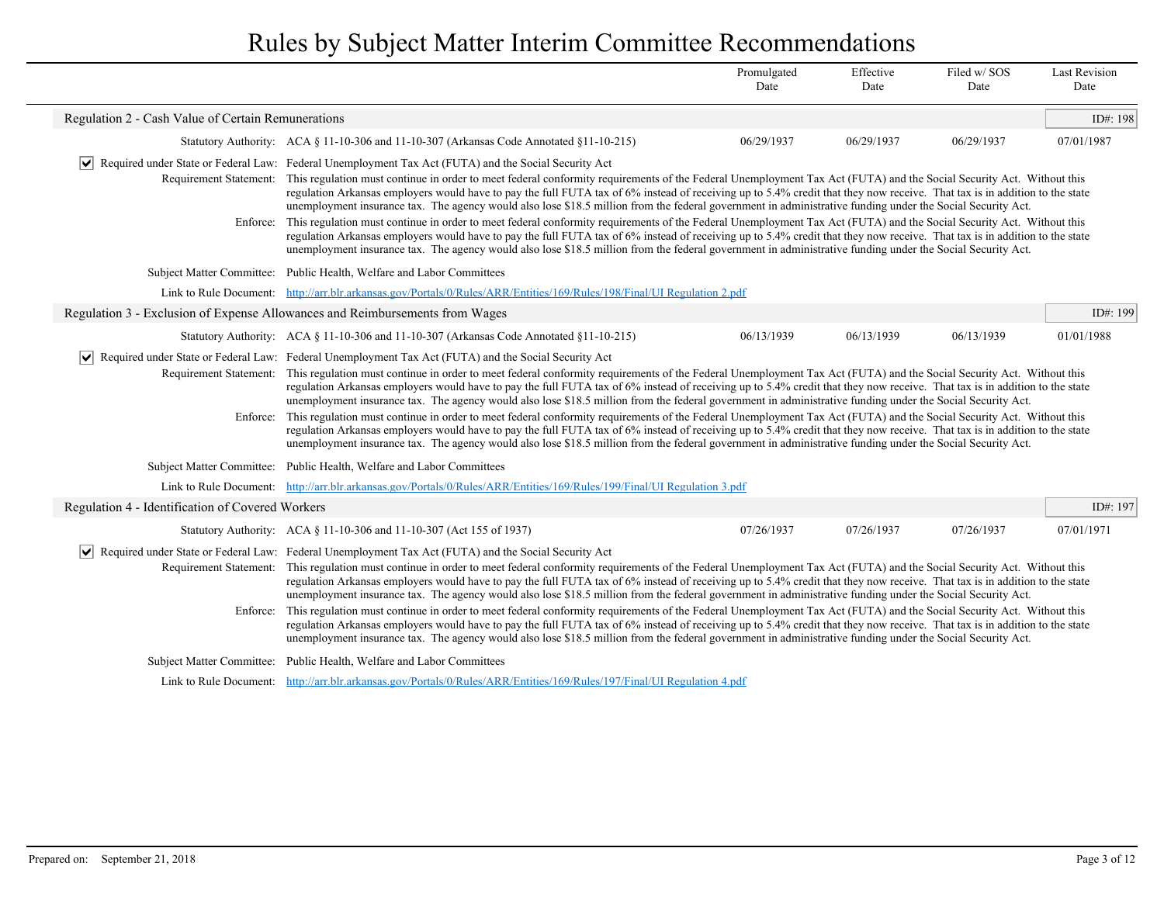|                                                    |                                                                                                                                                                                                                                                                                                                                                                                                                                                                                                                                                                                                                                                                                                                                                                                                                                                                                                                                                                                                                                                                                                                                                                            | Promulgated<br>Date | Effective<br>Date | Filed w/SOS<br>Date | <b>Last Revision</b><br>Date |
|----------------------------------------------------|----------------------------------------------------------------------------------------------------------------------------------------------------------------------------------------------------------------------------------------------------------------------------------------------------------------------------------------------------------------------------------------------------------------------------------------------------------------------------------------------------------------------------------------------------------------------------------------------------------------------------------------------------------------------------------------------------------------------------------------------------------------------------------------------------------------------------------------------------------------------------------------------------------------------------------------------------------------------------------------------------------------------------------------------------------------------------------------------------------------------------------------------------------------------------|---------------------|-------------------|---------------------|------------------------------|
| Regulation 2 - Cash Value of Certain Remunerations |                                                                                                                                                                                                                                                                                                                                                                                                                                                                                                                                                                                                                                                                                                                                                                                                                                                                                                                                                                                                                                                                                                                                                                            |                     |                   |                     | ID#: 198                     |
|                                                    | Statutory Authority: ACA § 11-10-306 and 11-10-307 (Arkansas Code Annotated §11-10-215)                                                                                                                                                                                                                                                                                                                                                                                                                                                                                                                                                                                                                                                                                                                                                                                                                                                                                                                                                                                                                                                                                    | 06/29/1937          | 06/29/1937        | 06/29/1937          | 07/01/1987                   |
| $ \bm{\mathsf{v}} $<br>Requirement Statement:      | Required under State or Federal Law: Federal Unemployment Tax Act (FUTA) and the Social Security Act<br>This regulation must continue in order to meet federal conformity requirements of the Federal Unemployment Tax Act (FUTA) and the Social Security Act. Without this<br>regulation Arkansas employers would have to pay the full FUTA tax of 6% instead of receiving up to 5.4% credit that they now receive. That tax is in addition to the state<br>unemployment insurance tax. The agency would also lose \$18.5 million from the federal government in administrative funding under the Social Security Act.                                                                                                                                                                                                                                                                                                                                                                                                                                                                                                                                                    |                     |                   |                     |                              |
| Enforce:                                           | This regulation must continue in order to meet federal conformity requirements of the Federal Unemployment Tax Act (FUTA) and the Social Security Act. Without this<br>regulation Arkansas employers would have to pay the full FUTA tax of 6% instead of receiving up to 5.4% credit that they now receive. That tax is in addition to the state<br>unemployment insurance tax. The agency would also lose \$18.5 million from the federal government in administrative funding under the Social Security Act.                                                                                                                                                                                                                                                                                                                                                                                                                                                                                                                                                                                                                                                            |                     |                   |                     |                              |
| <b>Subject Matter Committee:</b>                   | Public Health, Welfare and Labor Committees                                                                                                                                                                                                                                                                                                                                                                                                                                                                                                                                                                                                                                                                                                                                                                                                                                                                                                                                                                                                                                                                                                                                |                     |                   |                     |                              |
| Link to Rule Document:                             | http://arr.blr.arkansas.gov/Portals/0/Rules/ARR/Entities/169/Rules/198/Final/UI Regulation 2.pdf                                                                                                                                                                                                                                                                                                                                                                                                                                                                                                                                                                                                                                                                                                                                                                                                                                                                                                                                                                                                                                                                           |                     |                   |                     |                              |
|                                                    | Regulation 3 - Exclusion of Expense Allowances and Reimbursements from Wages                                                                                                                                                                                                                                                                                                                                                                                                                                                                                                                                                                                                                                                                                                                                                                                                                                                                                                                                                                                                                                                                                               |                     |                   |                     | ID#: 199                     |
|                                                    | Statutory Authority: ACA § 11-10-306 and 11-10-307 (Arkansas Code Annotated §11-10-215)                                                                                                                                                                                                                                                                                                                                                                                                                                                                                                                                                                                                                                                                                                                                                                                                                                                                                                                                                                                                                                                                                    | 06/13/1939          | 06/13/1939        | 06/13/1939          | 01/01/1988                   |
| Requirement Statement:<br>Enforce:                 | $ \mathbf{v} $ Required under State or Federal Law: Federal Unemployment Tax Act (FUTA) and the Social Security Act<br>This regulation must continue in order to meet federal conformity requirements of the Federal Unemployment Tax Act (FUTA) and the Social Security Act. Without this<br>regulation Arkansas employers would have to pay the full FUTA tax of 6% instead of receiving up to 5.4% credit that they now receive. That tax is in addition to the state<br>unemployment insurance tax. The agency would also lose \$18.5 million from the federal government in administrative funding under the Social Security Act.<br>This regulation must continue in order to meet federal conformity requirements of the Federal Unemployment Tax Act (FUTA) and the Social Security Act. Without this<br>regulation Arkansas employers would have to pay the full FUTA tax of 6% instead of receiving up to 5.4% credit that they now receive. That tax is in addition to the state<br>unemployment insurance tax. The agency would also lose \$18.5 million from the federal government in administrative funding under the Social Security Act.                  |                     |                   |                     |                              |
|                                                    | Subject Matter Committee: Public Health, Welfare and Labor Committees                                                                                                                                                                                                                                                                                                                                                                                                                                                                                                                                                                                                                                                                                                                                                                                                                                                                                                                                                                                                                                                                                                      |                     |                   |                     |                              |
|                                                    | Link to Rule Document: http://arr.blr.arkansas.gov/Portals/0/Rules/ARR/Entities/169/Rules/199/Final/UI Regulation 3.pdf                                                                                                                                                                                                                                                                                                                                                                                                                                                                                                                                                                                                                                                                                                                                                                                                                                                                                                                                                                                                                                                    |                     |                   |                     |                              |
| Regulation 4 - Identification of Covered Workers   |                                                                                                                                                                                                                                                                                                                                                                                                                                                                                                                                                                                                                                                                                                                                                                                                                                                                                                                                                                                                                                                                                                                                                                            |                     |                   |                     | ID#: 197                     |
|                                                    | Statutory Authority: ACA § 11-10-306 and 11-10-307 (Act 155 of 1937)                                                                                                                                                                                                                                                                                                                                                                                                                                                                                                                                                                                                                                                                                                                                                                                                                                                                                                                                                                                                                                                                                                       | 07/26/1937          | 07/26/1937        | 07/26/1937          | 07/01/1971                   |
| $ \bm{\vee} $                                      | Required under State or Federal Law: Federal Unemployment Tax Act (FUTA) and the Social Security Act<br>Requirement Statement: This regulation must continue in order to meet federal conformity requirements of the Federal Unemployment Tax Act (FUTA) and the Social Security Act. Without this<br>regulation Arkansas employers would have to pay the full FUTA tax of 6% instead of receiving up to 5.4% credit that they now receive. That tax is in addition to the state<br>unemployment insurance tax. The agency would also lose \$18.5 million from the federal government in administrative funding under the Social Security Act.<br>Enforce: This regulation must continue in order to meet federal conformity requirements of the Federal Unemployment Tax Act (FUTA) and the Social Security Act. Without this<br>regulation Arkansas employers would have to pay the full FUTA tax of 6% instead of receiving up to 5.4% credit that they now receive. That tax is in addition to the state<br>unemployment insurance tax. The agency would also lose \$18.5 million from the federal government in administrative funding under the Social Security Act. |                     |                   |                     |                              |
| <b>Subject Matter Committee:</b>                   | Public Health, Welfare and Labor Committees                                                                                                                                                                                                                                                                                                                                                                                                                                                                                                                                                                                                                                                                                                                                                                                                                                                                                                                                                                                                                                                                                                                                |                     |                   |                     |                              |
|                                                    | Link to Rule Document: http://arr.blr.arkansas.gov/Portals/0/Rules/ARR/Entities/169/Rules/197/Final/UI Regulation 4.pdf                                                                                                                                                                                                                                                                                                                                                                                                                                                                                                                                                                                                                                                                                                                                                                                                                                                                                                                                                                                                                                                    |                     |                   |                     |                              |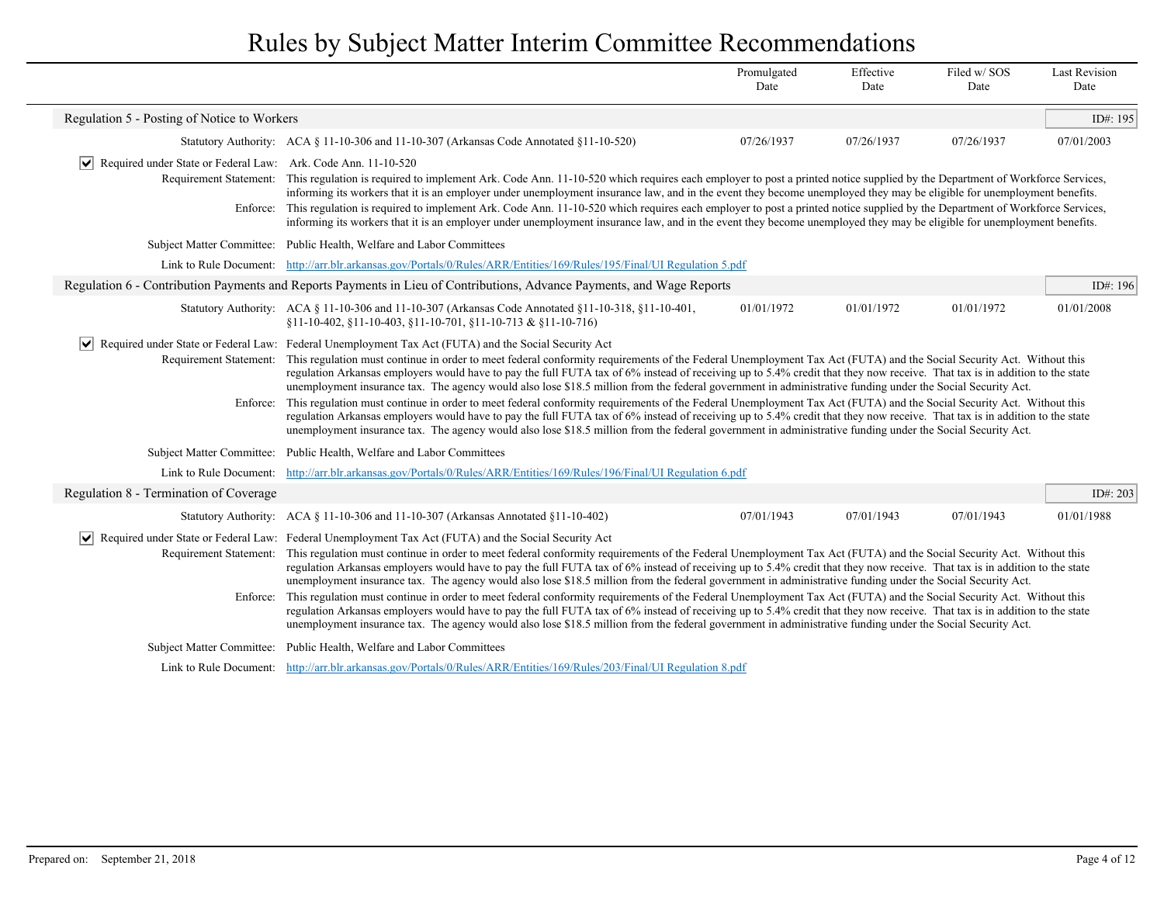|                                                                                                                                                                                                                                                                                                                                                                                                                                                                                                                                                                                                                                                                                                                                            |                                                                                                                                                                                                                                                                                                                                                                                                                                                                                                                                                                                                                                                                                                                                                                                                                                                                                                                                                                                                                                                                                                                                                                                         | Promulgated<br>Date                                                                                                                                                                                                                                                                                                                                                                                                                                                                                                                                                                                                                                                                                                                                                                                                                                                                                                                                                                                                                                       | Effective<br>Date | Filed w/SOS<br>Date | <b>Last Revision</b><br>Date |  |  |
|--------------------------------------------------------------------------------------------------------------------------------------------------------------------------------------------------------------------------------------------------------------------------------------------------------------------------------------------------------------------------------------------------------------------------------------------------------------------------------------------------------------------------------------------------------------------------------------------------------------------------------------------------------------------------------------------------------------------------------------------|-----------------------------------------------------------------------------------------------------------------------------------------------------------------------------------------------------------------------------------------------------------------------------------------------------------------------------------------------------------------------------------------------------------------------------------------------------------------------------------------------------------------------------------------------------------------------------------------------------------------------------------------------------------------------------------------------------------------------------------------------------------------------------------------------------------------------------------------------------------------------------------------------------------------------------------------------------------------------------------------------------------------------------------------------------------------------------------------------------------------------------------------------------------------------------------------|-----------------------------------------------------------------------------------------------------------------------------------------------------------------------------------------------------------------------------------------------------------------------------------------------------------------------------------------------------------------------------------------------------------------------------------------------------------------------------------------------------------------------------------------------------------------------------------------------------------------------------------------------------------------------------------------------------------------------------------------------------------------------------------------------------------------------------------------------------------------------------------------------------------------------------------------------------------------------------------------------------------------------------------------------------------|-------------------|---------------------|------------------------------|--|--|
| Regulation 5 - Posting of Notice to Workers                                                                                                                                                                                                                                                                                                                                                                                                                                                                                                                                                                                                                                                                                                |                                                                                                                                                                                                                                                                                                                                                                                                                                                                                                                                                                                                                                                                                                                                                                                                                                                                                                                                                                                                                                                                                                                                                                                         |                                                                                                                                                                                                                                                                                                                                                                                                                                                                                                                                                                                                                                                                                                                                                                                                                                                                                                                                                                                                                                                           |                   |                     | ID#: 195                     |  |  |
|                                                                                                                                                                                                                                                                                                                                                                                                                                                                                                                                                                                                                                                                                                                                            | Statutory Authority: ACA § 11-10-306 and 11-10-307 (Arkansas Code Annotated §11-10-520)                                                                                                                                                                                                                                                                                                                                                                                                                                                                                                                                                                                                                                                                                                                                                                                                                                                                                                                                                                                                                                                                                                 | 07/26/1937                                                                                                                                                                                                                                                                                                                                                                                                                                                                                                                                                                                                                                                                                                                                                                                                                                                                                                                                                                                                                                                | 07/26/1937        | 07/26/1937          | 07/01/2003                   |  |  |
| √ Required under State or Federal Law: Ark. Code Ann. 11-10-520                                                                                                                                                                                                                                                                                                                                                                                                                                                                                                                                                                                                                                                                            |                                                                                                                                                                                                                                                                                                                                                                                                                                                                                                                                                                                                                                                                                                                                                                                                                                                                                                                                                                                                                                                                                                                                                                                         |                                                                                                                                                                                                                                                                                                                                                                                                                                                                                                                                                                                                                                                                                                                                                                                                                                                                                                                                                                                                                                                           |                   |                     |                              |  |  |
| Requirement Statement: This regulation is required to implement Ark. Code Ann. 11-10-520 which requires each employer to post a printed notice supplied by the Department of Workforce Services,<br>informing its workers that it is an employer under unemployment insurance law, and in the event they become unemployed they may be eligible for unemployment benefits.<br>Enforce: This regulation is required to implement Ark. Code Ann. 11-10-520 which requires each employer to post a printed notice supplied by the Department of Workforce Services,<br>informing its workers that it is an employer under unemployment insurance law, and in the event they become unemployed they may be eligible for unemployment benefits. |                                                                                                                                                                                                                                                                                                                                                                                                                                                                                                                                                                                                                                                                                                                                                                                                                                                                                                                                                                                                                                                                                                                                                                                         |                                                                                                                                                                                                                                                                                                                                                                                                                                                                                                                                                                                                                                                                                                                                                                                                                                                                                                                                                                                                                                                           |                   |                     |                              |  |  |
|                                                                                                                                                                                                                                                                                                                                                                                                                                                                                                                                                                                                                                                                                                                                            | Subject Matter Committee: Public Health, Welfare and Labor Committees                                                                                                                                                                                                                                                                                                                                                                                                                                                                                                                                                                                                                                                                                                                                                                                                                                                                                                                                                                                                                                                                                                                   |                                                                                                                                                                                                                                                                                                                                                                                                                                                                                                                                                                                                                                                                                                                                                                                                                                                                                                                                                                                                                                                           |                   |                     |                              |  |  |
|                                                                                                                                                                                                                                                                                                                                                                                                                                                                                                                                                                                                                                                                                                                                            | Link to Rule Document: http://arr.blr.arkansas.gov/Portals/0/Rules/ARR/Entities/169/Rules/195/Final/UI Regulation 5.pdf                                                                                                                                                                                                                                                                                                                                                                                                                                                                                                                                                                                                                                                                                                                                                                                                                                                                                                                                                                                                                                                                 |                                                                                                                                                                                                                                                                                                                                                                                                                                                                                                                                                                                                                                                                                                                                                                                                                                                                                                                                                                                                                                                           |                   |                     |                              |  |  |
|                                                                                                                                                                                                                                                                                                                                                                                                                                                                                                                                                                                                                                                                                                                                            | Regulation 6 - Contribution Payments and Reports Payments in Lieu of Contributions, Advance Payments, and Wage Reports                                                                                                                                                                                                                                                                                                                                                                                                                                                                                                                                                                                                                                                                                                                                                                                                                                                                                                                                                                                                                                                                  |                                                                                                                                                                                                                                                                                                                                                                                                                                                                                                                                                                                                                                                                                                                                                                                                                                                                                                                                                                                                                                                           |                   |                     | ID#: 196                     |  |  |
|                                                                                                                                                                                                                                                                                                                                                                                                                                                                                                                                                                                                                                                                                                                                            | Statutory Authority: ACA $\S$ 11-10-306 and 11-10-307 (Arkansas Code Annotated $\S$ 11-10-318, $\S$ 11-10-401,<br>$$11-10-402, $11-10-403, $11-10-701, $11-10-713 & $11-10-716)$                                                                                                                                                                                                                                                                                                                                                                                                                                                                                                                                                                                                                                                                                                                                                                                                                                                                                                                                                                                                        | 01/01/1972                                                                                                                                                                                                                                                                                                                                                                                                                                                                                                                                                                                                                                                                                                                                                                                                                                                                                                                                                                                                                                                | 01/01/1972        | 01/01/1972          | 01/01/2008                   |  |  |
| ∣V∣                                                                                                                                                                                                                                                                                                                                                                                                                                                                                                                                                                                                                                                                                                                                        | Required under State or Federal Law: Federal Unemployment Tax Act (FUTA) and the Social Security Act                                                                                                                                                                                                                                                                                                                                                                                                                                                                                                                                                                                                                                                                                                                                                                                                                                                                                                                                                                                                                                                                                    |                                                                                                                                                                                                                                                                                                                                                                                                                                                                                                                                                                                                                                                                                                                                                                                                                                                                                                                                                                                                                                                           |                   |                     |                              |  |  |
| Enforce:                                                                                                                                                                                                                                                                                                                                                                                                                                                                                                                                                                                                                                                                                                                                   |                                                                                                                                                                                                                                                                                                                                                                                                                                                                                                                                                                                                                                                                                                                                                                                                                                                                                                                                                                                                                                                                                                                                                                                         | Requirement Statement: This regulation must continue in order to meet federal conformity requirements of the Federal Unemployment Tax Act (FUTA) and the Social Security Act. Without this<br>regulation Arkansas employers would have to pay the full FUTA tax of 6% instead of receiving up to 5.4% credit that they now receive. That tax is in addition to the state<br>unemployment insurance tax. The agency would also lose \$18.5 million from the federal government in administrative funding under the Social Security Act.<br>This regulation must continue in order to meet federal conformity requirements of the Federal Unemployment Tax Act (FUTA) and the Social Security Act. Without this<br>regulation Arkansas employers would have to pay the full FUTA tax of 6% instead of receiving up to 5.4% credit that they now receive. That tax is in addition to the state<br>unemployment insurance tax. The agency would also lose \$18.5 million from the federal government in administrative funding under the Social Security Act. |                   |                     |                              |  |  |
|                                                                                                                                                                                                                                                                                                                                                                                                                                                                                                                                                                                                                                                                                                                                            | Subject Matter Committee: Public Health, Welfare and Labor Committees                                                                                                                                                                                                                                                                                                                                                                                                                                                                                                                                                                                                                                                                                                                                                                                                                                                                                                                                                                                                                                                                                                                   |                                                                                                                                                                                                                                                                                                                                                                                                                                                                                                                                                                                                                                                                                                                                                                                                                                                                                                                                                                                                                                                           |                   |                     |                              |  |  |
|                                                                                                                                                                                                                                                                                                                                                                                                                                                                                                                                                                                                                                                                                                                                            | Link to Rule Document: http://arr.blr.arkansas.gov/Portals/0/Rules/ARR/Entities/169/Rules/196/Final/UI Regulation 6.pdf                                                                                                                                                                                                                                                                                                                                                                                                                                                                                                                                                                                                                                                                                                                                                                                                                                                                                                                                                                                                                                                                 |                                                                                                                                                                                                                                                                                                                                                                                                                                                                                                                                                                                                                                                                                                                                                                                                                                                                                                                                                                                                                                                           |                   |                     |                              |  |  |
| Regulation 8 - Termination of Coverage                                                                                                                                                                                                                                                                                                                                                                                                                                                                                                                                                                                                                                                                                                     |                                                                                                                                                                                                                                                                                                                                                                                                                                                                                                                                                                                                                                                                                                                                                                                                                                                                                                                                                                                                                                                                                                                                                                                         |                                                                                                                                                                                                                                                                                                                                                                                                                                                                                                                                                                                                                                                                                                                                                                                                                                                                                                                                                                                                                                                           |                   |                     | ID#: 203                     |  |  |
|                                                                                                                                                                                                                                                                                                                                                                                                                                                                                                                                                                                                                                                                                                                                            | Statutory Authority: ACA § 11-10-306 and 11-10-307 (Arkansas Annotated §11-10-402)                                                                                                                                                                                                                                                                                                                                                                                                                                                                                                                                                                                                                                                                                                                                                                                                                                                                                                                                                                                                                                                                                                      | 07/01/1943                                                                                                                                                                                                                                                                                                                                                                                                                                                                                                                                                                                                                                                                                                                                                                                                                                                                                                                                                                                                                                                | 07/01/1943        | 07/01/1943          | 01/01/1988                   |  |  |
| Enforce:                                                                                                                                                                                                                                                                                                                                                                                                                                                                                                                                                                                                                                                                                                                                   | $\vert \bullet \vert$ Required under State or Federal Law: Federal Unemployment Tax Act (FUTA) and the Social Security Act<br>Requirement Statement: This regulation must continue in order to meet federal conformity requirements of the Federal Unemployment Tax Act (FUTA) and the Social Security Act. Without this<br>regulation Arkansas employers would have to pay the full FUTA tax of 6% instead of receiving up to 5.4% credit that they now receive. That tax is in addition to the state<br>unemployment insurance tax. The agency would also lose \$18.5 million from the federal government in administrative funding under the Social Security Act.<br>This regulation must continue in order to meet federal conformity requirements of the Federal Unemployment Tax Act (FUTA) and the Social Security Act. Without this<br>regulation Arkansas employers would have to pay the full FUTA tax of 6% instead of receiving up to 5.4% credit that they now receive. That tax is in addition to the state<br>unemployment insurance tax. The agency would also lose \$18.5 million from the federal government in administrative funding under the Social Security Act. |                                                                                                                                                                                                                                                                                                                                                                                                                                                                                                                                                                                                                                                                                                                                                                                                                                                                                                                                                                                                                                                           |                   |                     |                              |  |  |
|                                                                                                                                                                                                                                                                                                                                                                                                                                                                                                                                                                                                                                                                                                                                            | Subject Matter Committee: Public Health, Welfare and Labor Committees                                                                                                                                                                                                                                                                                                                                                                                                                                                                                                                                                                                                                                                                                                                                                                                                                                                                                                                                                                                                                                                                                                                   |                                                                                                                                                                                                                                                                                                                                                                                                                                                                                                                                                                                                                                                                                                                                                                                                                                                                                                                                                                                                                                                           |                   |                     |                              |  |  |
|                                                                                                                                                                                                                                                                                                                                                                                                                                                                                                                                                                                                                                                                                                                                            | Link to Rule Document: http://arr.blr.arkansas.gov/Portals/0/Rules/ARR/Entities/169/Rules/203/Final/UI Regulation 8.pdf                                                                                                                                                                                                                                                                                                                                                                                                                                                                                                                                                                                                                                                                                                                                                                                                                                                                                                                                                                                                                                                                 |                                                                                                                                                                                                                                                                                                                                                                                                                                                                                                                                                                                                                                                                                                                                                                                                                                                                                                                                                                                                                                                           |                   |                     |                              |  |  |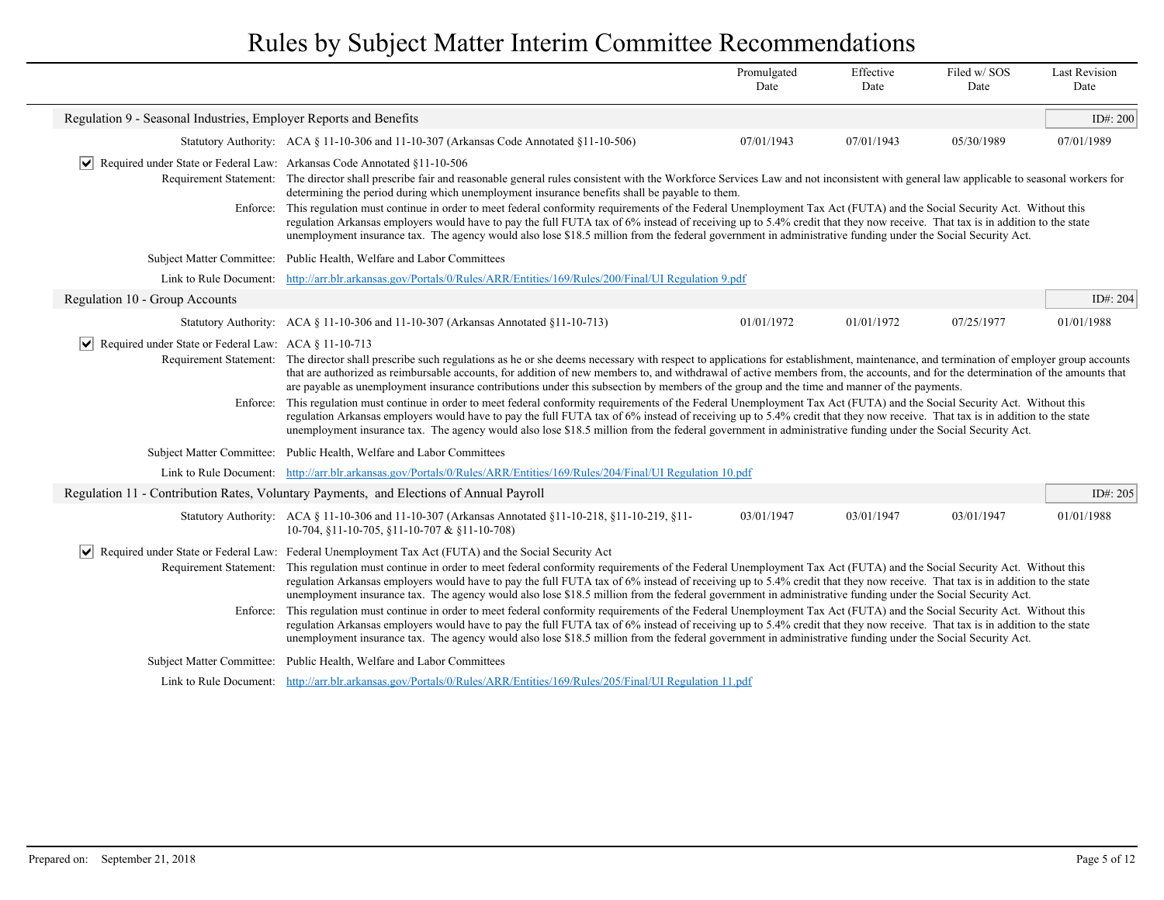|                                                                                                                                                                                                                                                                                                                                                                                                                                                                                                                                                                                                                                                                                                                                                                                                                                                                                                                                                                                                                                                                                                                                                                                        |                                                                                                                                                                                                                                                                                                                                                                                                                                                                                                                                                                                                                                                                                                                                                                                                                                                                                                                                                                                                                                                                                                                                       | Promulgated<br>Date | Effective<br>Date | Filed w/SOS<br>Date | <b>Last Revision</b><br>Date |
|----------------------------------------------------------------------------------------------------------------------------------------------------------------------------------------------------------------------------------------------------------------------------------------------------------------------------------------------------------------------------------------------------------------------------------------------------------------------------------------------------------------------------------------------------------------------------------------------------------------------------------------------------------------------------------------------------------------------------------------------------------------------------------------------------------------------------------------------------------------------------------------------------------------------------------------------------------------------------------------------------------------------------------------------------------------------------------------------------------------------------------------------------------------------------------------|---------------------------------------------------------------------------------------------------------------------------------------------------------------------------------------------------------------------------------------------------------------------------------------------------------------------------------------------------------------------------------------------------------------------------------------------------------------------------------------------------------------------------------------------------------------------------------------------------------------------------------------------------------------------------------------------------------------------------------------------------------------------------------------------------------------------------------------------------------------------------------------------------------------------------------------------------------------------------------------------------------------------------------------------------------------------------------------------------------------------------------------|---------------------|-------------------|---------------------|------------------------------|
| Regulation 9 - Seasonal Industries, Employer Reports and Benefits                                                                                                                                                                                                                                                                                                                                                                                                                                                                                                                                                                                                                                                                                                                                                                                                                                                                                                                                                                                                                                                                                                                      |                                                                                                                                                                                                                                                                                                                                                                                                                                                                                                                                                                                                                                                                                                                                                                                                                                                                                                                                                                                                                                                                                                                                       |                     |                   |                     | ID#: 200                     |
|                                                                                                                                                                                                                                                                                                                                                                                                                                                                                                                                                                                                                                                                                                                                                                                                                                                                                                                                                                                                                                                                                                                                                                                        | Statutory Authority: ACA § 11-10-306 and 11-10-307 (Arkansas Code Annotated §11-10-506)                                                                                                                                                                                                                                                                                                                                                                                                                                                                                                                                                                                                                                                                                                                                                                                                                                                                                                                                                                                                                                               | 07/01/1943          | 07/01/1943        | 05/30/1989          | 07/01/1989                   |
| $\vert \vee \vert$ Required under State or Federal Law: Arkansas Code Annotated §11-10-506<br>Requirement Statement:<br>Enforce:                                                                                                                                                                                                                                                                                                                                                                                                                                                                                                                                                                                                                                                                                                                                                                                                                                                                                                                                                                                                                                                       | The director shall prescribe fair and reasonable general rules consistent with the Workforce Services Law and not inconsistent with general law applicable to seasonal workers for<br>determining the period during which unemployment insurance benefits shall be payable to them.<br>This regulation must continue in order to meet federal conformity requirements of the Federal Unemployment Tax Act (FUTA) and the Social Security Act. Without this<br>regulation Arkansas employers would have to pay the full FUTA tax of 6% instead of receiving up to 5.4% credit that they now receive. That tax is in addition to the state<br>unemployment insurance tax. The agency would also lose \$18.5 million from the federal government in administrative funding under the Social Security Act.                                                                                                                                                                                                                                                                                                                                |                     |                   |                     |                              |
| <b>Subject Matter Committee:</b>                                                                                                                                                                                                                                                                                                                                                                                                                                                                                                                                                                                                                                                                                                                                                                                                                                                                                                                                                                                                                                                                                                                                                       | Public Health, Welfare and Labor Committees                                                                                                                                                                                                                                                                                                                                                                                                                                                                                                                                                                                                                                                                                                                                                                                                                                                                                                                                                                                                                                                                                           |                     |                   |                     |                              |
| Link to Rule Document:                                                                                                                                                                                                                                                                                                                                                                                                                                                                                                                                                                                                                                                                                                                                                                                                                                                                                                                                                                                                                                                                                                                                                                 | http://arr.blr.arkansas.gov/Portals/0/Rules/ARR/Entities/169/Rules/200/Final/UI Regulation 9.pdf                                                                                                                                                                                                                                                                                                                                                                                                                                                                                                                                                                                                                                                                                                                                                                                                                                                                                                                                                                                                                                      |                     |                   |                     |                              |
| Regulation 10 - Group Accounts                                                                                                                                                                                                                                                                                                                                                                                                                                                                                                                                                                                                                                                                                                                                                                                                                                                                                                                                                                                                                                                                                                                                                         |                                                                                                                                                                                                                                                                                                                                                                                                                                                                                                                                                                                                                                                                                                                                                                                                                                                                                                                                                                                                                                                                                                                                       |                     |                   |                     | ID#: 204                     |
|                                                                                                                                                                                                                                                                                                                                                                                                                                                                                                                                                                                                                                                                                                                                                                                                                                                                                                                                                                                                                                                                                                                                                                                        | Statutory Authority: ACA § 11-10-306 and 11-10-307 (Arkansas Annotated §11-10-713)                                                                                                                                                                                                                                                                                                                                                                                                                                                                                                                                                                                                                                                                                                                                                                                                                                                                                                                                                                                                                                                    | 01/01/1972          | 01/01/1972        | 07/25/1977          | 01/01/1988                   |
| Enforce:                                                                                                                                                                                                                                                                                                                                                                                                                                                                                                                                                                                                                                                                                                                                                                                                                                                                                                                                                                                                                                                                                                                                                                               | $ \mathbf{v} $ Required under State or Federal Law: ACA § 11-10-713<br>Requirement Statement: The director shall prescribe such regulations as he or she deems necessary with respect to applications for establishment, maintenance, and termination of employer group accounts<br>that are authorized as reimbursable accounts, for addition of new members to, and withdrawal of active members from, the accounts, and for the determination of the amounts that<br>are payable as unemployment insurance contributions under this subsection by members of the group and the time and manner of the payments.<br>This regulation must continue in order to meet federal conformity requirements of the Federal Unemployment Tax Act (FUTA) and the Social Security Act. Without this<br>regulation Arkansas employers would have to pay the full FUTA tax of 6% instead of receiving up to 5.4% credit that they now receive. That tax is in addition to the state<br>unemployment insurance tax. The agency would also lose \$18.5 million from the federal government in administrative funding under the Social Security Act. |                     |                   |                     |                              |
|                                                                                                                                                                                                                                                                                                                                                                                                                                                                                                                                                                                                                                                                                                                                                                                                                                                                                                                                                                                                                                                                                                                                                                                        | Subject Matter Committee: Public Health, Welfare and Labor Committees                                                                                                                                                                                                                                                                                                                                                                                                                                                                                                                                                                                                                                                                                                                                                                                                                                                                                                                                                                                                                                                                 |                     |                   |                     |                              |
|                                                                                                                                                                                                                                                                                                                                                                                                                                                                                                                                                                                                                                                                                                                                                                                                                                                                                                                                                                                                                                                                                                                                                                                        | Link to Rule Document: http://arr.blr.arkansas.gov/Portals/0/Rules/ARR/Entities/169/Rules/204/Final/UI Regulation 10.pdf                                                                                                                                                                                                                                                                                                                                                                                                                                                                                                                                                                                                                                                                                                                                                                                                                                                                                                                                                                                                              |                     |                   |                     |                              |
|                                                                                                                                                                                                                                                                                                                                                                                                                                                                                                                                                                                                                                                                                                                                                                                                                                                                                                                                                                                                                                                                                                                                                                                        | Regulation 11 - Contribution Rates, Voluntary Payments, and Elections of Annual Payroll                                                                                                                                                                                                                                                                                                                                                                                                                                                                                                                                                                                                                                                                                                                                                                                                                                                                                                                                                                                                                                               |                     |                   |                     | ID#: 205                     |
|                                                                                                                                                                                                                                                                                                                                                                                                                                                                                                                                                                                                                                                                                                                                                                                                                                                                                                                                                                                                                                                                                                                                                                                        | Statutory Authority: ACA § 11-10-306 and 11-10-307 (Arkansas Annotated §11-10-218, §11-10-219, §11-<br>10-704, §11-10-705, §11-10-707 & §11-10-708)                                                                                                                                                                                                                                                                                                                                                                                                                                                                                                                                                                                                                                                                                                                                                                                                                                                                                                                                                                                   | 03/01/1947          | 03/01/1947        | 03/01/1947          | 01/01/1988                   |
| Required under State or Federal Law: Federal Unemployment Tax Act (FUTA) and the Social Security Act<br>VI<br>Requirement Statement:<br>This regulation must continue in order to meet federal conformity requirements of the Federal Unemployment Tax Act (FUTA) and the Social Security Act. Without this<br>regulation Arkansas employers would have to pay the full FUTA tax of 6% instead of receiving up to 5.4% credit that they now receive. That tax is in addition to the state<br>unemployment insurance tax. The agency would also lose \$18.5 million from the federal government in administrative funding under the Social Security Act.<br>This regulation must continue in order to meet federal conformity requirements of the Federal Unemployment Tax Act (FUTA) and the Social Security Act. Without this<br>Enforce:<br>regulation Arkansas employers would have to pay the full FUTA tax of 6% instead of receiving up to 5.4% credit that they now receive. That tax is in addition to the state<br>unemployment insurance tax. The agency would also lose \$18.5 million from the federal government in administrative funding under the Social Security Act. |                                                                                                                                                                                                                                                                                                                                                                                                                                                                                                                                                                                                                                                                                                                                                                                                                                                                                                                                                                                                                                                                                                                                       |                     |                   |                     |                              |
| <b>Subject Matter Committee:</b>                                                                                                                                                                                                                                                                                                                                                                                                                                                                                                                                                                                                                                                                                                                                                                                                                                                                                                                                                                                                                                                                                                                                                       | Public Health, Welfare and Labor Committees                                                                                                                                                                                                                                                                                                                                                                                                                                                                                                                                                                                                                                                                                                                                                                                                                                                                                                                                                                                                                                                                                           |                     |                   |                     |                              |
|                                                                                                                                                                                                                                                                                                                                                                                                                                                                                                                                                                                                                                                                                                                                                                                                                                                                                                                                                                                                                                                                                                                                                                                        | Link to Rule Document: http://arr.blr.arkansas.gov/Portals/0/Rules/ARR/Entities/169/Rules/205/Final/UI Regulation 11.pdf                                                                                                                                                                                                                                                                                                                                                                                                                                                                                                                                                                                                                                                                                                                                                                                                                                                                                                                                                                                                              |                     |                   |                     |                              |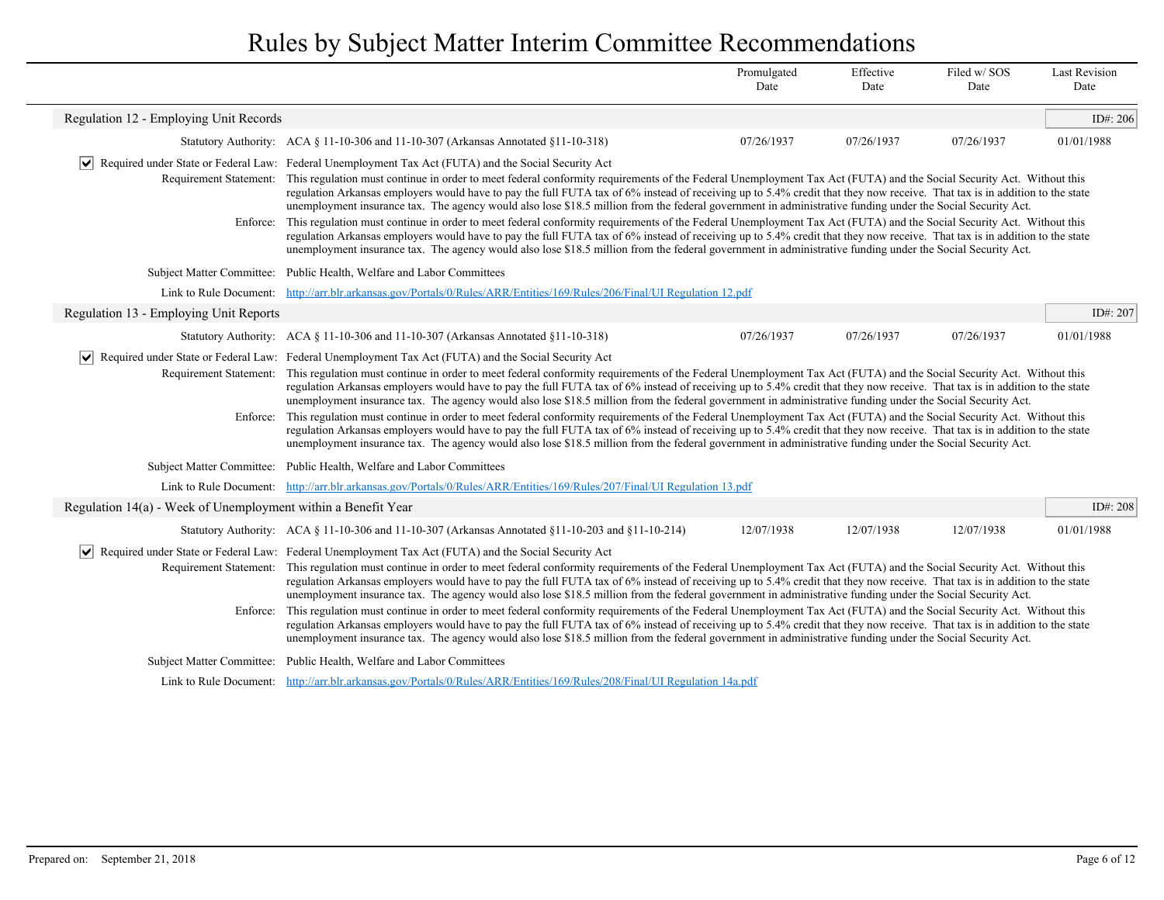|                                                               |                                                                                                                                                                                                                                                                                                                                                                                                                                                                                                                                                                                                                                                                                                                                                                                                                                                                                                                                                                                                                                                                                                                                                                                           | Promulgated<br>Date | Effective<br>Date | Filed w/SOS<br>Date | <b>Last Revision</b><br>Date |
|---------------------------------------------------------------|-------------------------------------------------------------------------------------------------------------------------------------------------------------------------------------------------------------------------------------------------------------------------------------------------------------------------------------------------------------------------------------------------------------------------------------------------------------------------------------------------------------------------------------------------------------------------------------------------------------------------------------------------------------------------------------------------------------------------------------------------------------------------------------------------------------------------------------------------------------------------------------------------------------------------------------------------------------------------------------------------------------------------------------------------------------------------------------------------------------------------------------------------------------------------------------------|---------------------|-------------------|---------------------|------------------------------|
| Regulation 12 - Employing Unit Records                        |                                                                                                                                                                                                                                                                                                                                                                                                                                                                                                                                                                                                                                                                                                                                                                                                                                                                                                                                                                                                                                                                                                                                                                                           |                     |                   |                     | ID#: 206                     |
|                                                               | Statutory Authority: ACA § 11-10-306 and 11-10-307 (Arkansas Annotated §11-10-318)                                                                                                                                                                                                                                                                                                                                                                                                                                                                                                                                                                                                                                                                                                                                                                                                                                                                                                                                                                                                                                                                                                        | 07/26/1937          | 07/26/1937        | 07/26/1937          | 01/01/1988                   |
| Requirement Statement:                                        | Required under State or Federal Law: Federal Unemployment Tax Act (FUTA) and the Social Security Act<br>This regulation must continue in order to meet federal conformity requirements of the Federal Unemployment Tax Act (FUTA) and the Social Security Act. Without this<br>regulation Arkansas employers would have to pay the full FUTA tax of 6% instead of receiving up to 5.4% credit that they now receive. That tax is in addition to the state<br>unemployment insurance tax. The agency would also lose \$18.5 million from the federal government in administrative funding under the Social Security Act.                                                                                                                                                                                                                                                                                                                                                                                                                                                                                                                                                                   |                     |                   |                     |                              |
|                                                               | Enforce: This regulation must continue in order to meet federal conformity requirements of the Federal Unemployment Tax Act (FUTA) and the Social Security Act. Without this<br>regulation Arkansas employers would have to pay the full FUTA tax of 6% instead of receiving up to 5.4% credit that they now receive. That tax is in addition to the state<br>unemployment insurance tax. The agency would also lose \$18.5 million from the federal government in administrative funding under the Social Security Act.                                                                                                                                                                                                                                                                                                                                                                                                                                                                                                                                                                                                                                                                  |                     |                   |                     |                              |
|                                                               | Subject Matter Committee: Public Health, Welfare and Labor Committees                                                                                                                                                                                                                                                                                                                                                                                                                                                                                                                                                                                                                                                                                                                                                                                                                                                                                                                                                                                                                                                                                                                     |                     |                   |                     |                              |
|                                                               | Link to Rule Document: http://arr.blr.arkansas.gov/Portals/0/Rules/ARR/Entities/169/Rules/206/Final/UI Regulation 12.pdf                                                                                                                                                                                                                                                                                                                                                                                                                                                                                                                                                                                                                                                                                                                                                                                                                                                                                                                                                                                                                                                                  |                     |                   |                     |                              |
| Regulation 13 - Employing Unit Reports                        |                                                                                                                                                                                                                                                                                                                                                                                                                                                                                                                                                                                                                                                                                                                                                                                                                                                                                                                                                                                                                                                                                                                                                                                           |                     |                   |                     | ID#: 207                     |
|                                                               | Statutory Authority: $ACA \$ 11-10-306 and 11-10-307 (Arkansas Annotated $\S11$ -10-318)                                                                                                                                                                                                                                                                                                                                                                                                                                                                                                                                                                                                                                                                                                                                                                                                                                                                                                                                                                                                                                                                                                  | 07/26/1937          | 07/26/1937        | 07/26/1937          | 01/01/1988                   |
|                                                               | $ \mathbf{v} $ Required under State or Federal Law: Federal Unemployment Tax Act (FUTA) and the Social Security Act<br>Requirement Statement: This regulation must continue in order to meet federal conformity requirements of the Federal Unemployment Tax Act (FUTA) and the Social Security Act. Without this<br>regulation Arkansas employers would have to pay the full FUTA tax of 6% instead of receiving up to 5.4% credit that they now receive. That tax is in addition to the state<br>unemployment insurance tax. The agency would also lose \$18.5 million from the federal government in administrative funding under the Social Security Act.<br>Enforce: This regulation must continue in order to meet federal conformity requirements of the Federal Unemployment Tax Act (FUTA) and the Social Security Act. Without this<br>regulation Arkansas employers would have to pay the full FUTA tax of 6% instead of receiving up to 5.4% credit that they now receive. That tax is in addition to the state<br>unemployment insurance tax. The agency would also lose \$18.5 million from the federal government in administrative funding under the Social Security Act. |                     |                   |                     |                              |
|                                                               | Subject Matter Committee: Public Health, Welfare and Labor Committees                                                                                                                                                                                                                                                                                                                                                                                                                                                                                                                                                                                                                                                                                                                                                                                                                                                                                                                                                                                                                                                                                                                     |                     |                   |                     |                              |
|                                                               | Link to Rule Document: http://arr.blr.arkansas.gov/Portals/0/Rules/ARR/Entities/169/Rules/207/Final/UI Regulation 13.pdf                                                                                                                                                                                                                                                                                                                                                                                                                                                                                                                                                                                                                                                                                                                                                                                                                                                                                                                                                                                                                                                                  |                     |                   |                     |                              |
| Regulation 14(a) - Week of Unemployment within a Benefit Year |                                                                                                                                                                                                                                                                                                                                                                                                                                                                                                                                                                                                                                                                                                                                                                                                                                                                                                                                                                                                                                                                                                                                                                                           |                     |                   |                     | ID#: 208                     |
|                                                               | Statutory Authority: ACA § 11-10-306 and 11-10-307 (Arkansas Annotated §11-10-203 and §11-10-214)                                                                                                                                                                                                                                                                                                                                                                                                                                                                                                                                                                                                                                                                                                                                                                                                                                                                                                                                                                                                                                                                                         | 12/07/1938          | 12/07/1938        | 12/07/1938          | 01/01/1988                   |
| $ \bm{\mathsf{v}} $<br>Enforce:                               | Required under State or Federal Law: Federal Unemployment Tax Act (FUTA) and the Social Security Act<br>Requirement Statement: This regulation must continue in order to meet federal conformity requirements of the Federal Unemployment Tax Act (FUTA) and the Social Security Act. Without this<br>regulation Arkansas employers would have to pay the full FUTA tax of 6% instead of receiving up to 5.4% credit that they now receive. That tax is in addition to the state<br>unemployment insurance tax. The agency would also lose \$18.5 million from the federal government in administrative funding under the Social Security Act.<br>This regulation must continue in order to meet federal conformity requirements of the Federal Unemployment Tax Act (FUTA) and the Social Security Act. Without this<br>regulation Arkansas employers would have to pay the full FUTA tax of 6% instead of receiving up to 5.4% credit that they now receive. That tax is in addition to the state<br>unemployment insurance tax. The agency would also lose \$18.5 million from the federal government in administrative funding under the Social Security Act.                         |                     |                   |                     |                              |
|                                                               | Subject Matter Committee: Public Health, Welfare and Labor Committees                                                                                                                                                                                                                                                                                                                                                                                                                                                                                                                                                                                                                                                                                                                                                                                                                                                                                                                                                                                                                                                                                                                     |                     |                   |                     |                              |
|                                                               | Link to Rule Document: http://arr.blr.arkansas.gov/Portals/0/Rules/ARR/Entities/169/Rules/208/Final/UI Regulation 14a.pdf                                                                                                                                                                                                                                                                                                                                                                                                                                                                                                                                                                                                                                                                                                                                                                                                                                                                                                                                                                                                                                                                 |                     |                   |                     |                              |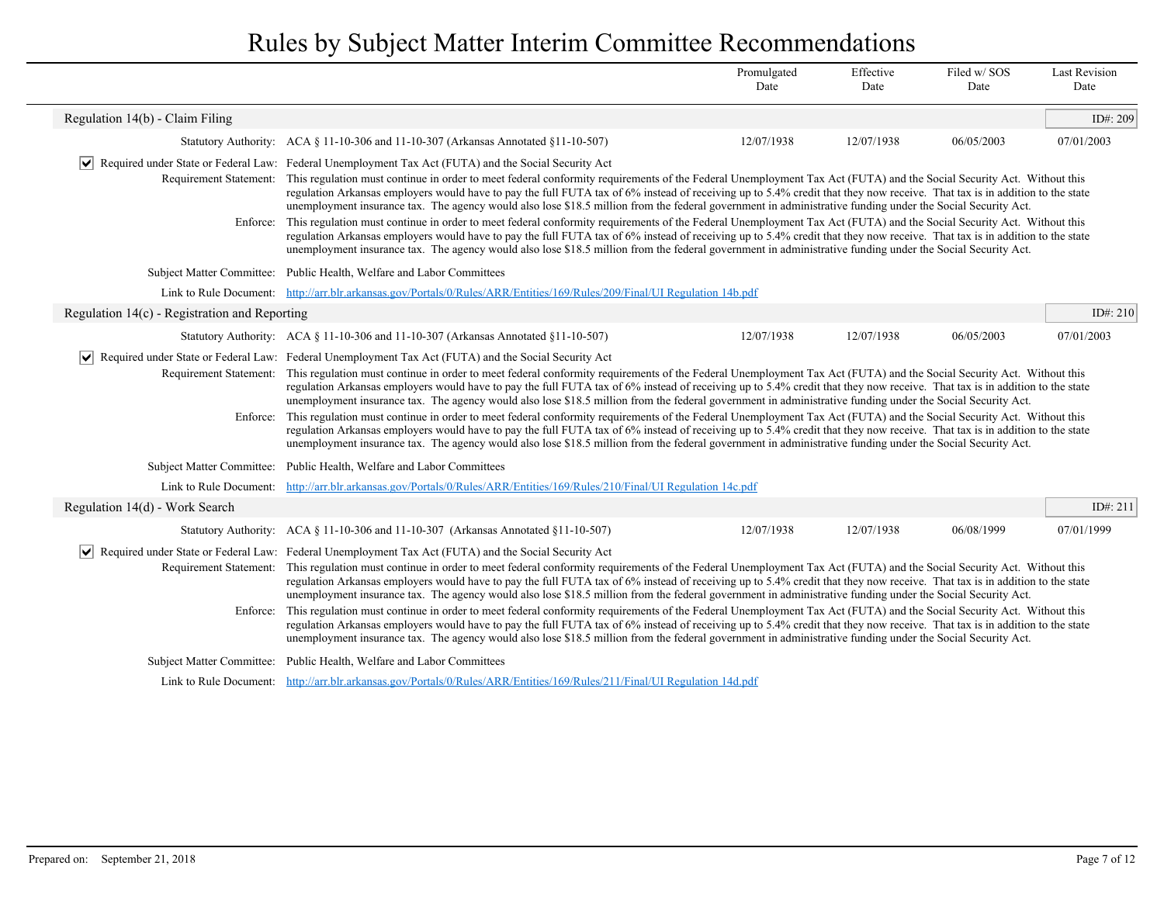|                                                       |                                                                                                                                                                                                                                                                                                                                                                                                                                                                                                                                                                                                                                                                                                                                                                                                                                                                                                                                                                                                                                                                                                                                                                            | Promulgated<br>Date | Effective<br>Date | Filed w/SOS<br>Date | <b>Last Revision</b><br>Date |  |
|-------------------------------------------------------|----------------------------------------------------------------------------------------------------------------------------------------------------------------------------------------------------------------------------------------------------------------------------------------------------------------------------------------------------------------------------------------------------------------------------------------------------------------------------------------------------------------------------------------------------------------------------------------------------------------------------------------------------------------------------------------------------------------------------------------------------------------------------------------------------------------------------------------------------------------------------------------------------------------------------------------------------------------------------------------------------------------------------------------------------------------------------------------------------------------------------------------------------------------------------|---------------------|-------------------|---------------------|------------------------------|--|
| Regulation 14(b) - Claim Filing                       |                                                                                                                                                                                                                                                                                                                                                                                                                                                                                                                                                                                                                                                                                                                                                                                                                                                                                                                                                                                                                                                                                                                                                                            |                     |                   |                     | ID#: 209                     |  |
|                                                       | Statutory Authority: ACA § 11-10-306 and 11-10-307 (Arkansas Annotated §11-10-507)                                                                                                                                                                                                                                                                                                                                                                                                                                                                                                                                                                                                                                                                                                                                                                                                                                                                                                                                                                                                                                                                                         | 12/07/1938          | 12/07/1938        | 06/05/2003          | 07/01/2003                   |  |
| $\vert\bm{\mathsf{v}}\vert$<br>Requirement Statement: | Required under State or Federal Law: Federal Unemployment Tax Act (FUTA) and the Social Security Act<br>This regulation must continue in order to meet federal conformity requirements of the Federal Unemployment Tax Act (FUTA) and the Social Security Act. Without this<br>regulation Arkansas employers would have to pay the full FUTA tax of 6% instead of receiving up to 5.4% credit that they now receive. That tax is in addition to the state<br>unemployment insurance tax. The agency would also lose \$18.5 million from the federal government in administrative funding under the Social Security Act.                                                                                                                                                                                                                                                                                                                                                                                                                                                                                                                                                    |                     |                   |                     |                              |  |
|                                                       | Enforce: This regulation must continue in order to meet federal conformity requirements of the Federal Unemployment Tax Act (FUTA) and the Social Security Act. Without this<br>regulation Arkansas employers would have to pay the full FUTA tax of 6% instead of receiving up to 5.4% credit that they now receive. That tax is in addition to the state<br>unemployment insurance tax. The agency would also lose \$18.5 million from the federal government in administrative funding under the Social Security Act.                                                                                                                                                                                                                                                                                                                                                                                                                                                                                                                                                                                                                                                   |                     |                   |                     |                              |  |
| <b>Subject Matter Committee:</b>                      | Public Health, Welfare and Labor Committees                                                                                                                                                                                                                                                                                                                                                                                                                                                                                                                                                                                                                                                                                                                                                                                                                                                                                                                                                                                                                                                                                                                                |                     |                   |                     |                              |  |
| Link to Rule Document:                                | http://arr.blr.arkansas.gov/Portals/0/Rules/ARR/Entities/169/Rules/209/Final/UI Regulation 14b.pdf                                                                                                                                                                                                                                                                                                                                                                                                                                                                                                                                                                                                                                                                                                                                                                                                                                                                                                                                                                                                                                                                         |                     |                   |                     |                              |  |
| Regulation $14(c)$ - Registration and Reporting       |                                                                                                                                                                                                                                                                                                                                                                                                                                                                                                                                                                                                                                                                                                                                                                                                                                                                                                                                                                                                                                                                                                                                                                            |                     |                   |                     | ID#: 210                     |  |
|                                                       | Statutory Authority: ACA § 11-10-306 and 11-10-307 (Arkansas Annotated §11-10-507)                                                                                                                                                                                                                                                                                                                                                                                                                                                                                                                                                                                                                                                                                                                                                                                                                                                                                                                                                                                                                                                                                         | 12/07/1938          | 12/07/1938        | 06/05/2003          | 07/01/2003                   |  |
|                                                       | Required under State or Federal Law: Federal Unemployment Tax Act (FUTA) and the Social Security Act<br>Requirement Statement: This regulation must continue in order to meet federal conformity requirements of the Federal Unemployment Tax Act (FUTA) and the Social Security Act. Without this<br>regulation Arkansas employers would have to pay the full FUTA tax of 6% instead of receiving up to 5.4% credit that they now receive. That tax is in addition to the state<br>unemployment insurance tax. The agency would also lose \$18.5 million from the federal government in administrative funding under the Social Security Act.<br>Enforce: This regulation must continue in order to meet federal conformity requirements of the Federal Unemployment Tax Act (FUTA) and the Social Security Act. Without this<br>regulation Arkansas employers would have to pay the full FUTA tax of 6% instead of receiving up to 5.4% credit that they now receive. That tax is in addition to the state<br>unemployment insurance tax. The agency would also lose \$18.5 million from the federal government in administrative funding under the Social Security Act. |                     |                   |                     |                              |  |
| <b>Subject Matter Committee:</b>                      | Public Health, Welfare and Labor Committees                                                                                                                                                                                                                                                                                                                                                                                                                                                                                                                                                                                                                                                                                                                                                                                                                                                                                                                                                                                                                                                                                                                                |                     |                   |                     |                              |  |
| Link to Rule Document:                                | http://arr.blr.arkansas.gov/Portals/0/Rules/ARR/Entities/169/Rules/210/Final/UI Regulation 14c.pdf                                                                                                                                                                                                                                                                                                                                                                                                                                                                                                                                                                                                                                                                                                                                                                                                                                                                                                                                                                                                                                                                         |                     |                   |                     |                              |  |
| Regulation 14(d) - Work Search                        |                                                                                                                                                                                                                                                                                                                                                                                                                                                                                                                                                                                                                                                                                                                                                                                                                                                                                                                                                                                                                                                                                                                                                                            |                     |                   |                     | ID#: 211                     |  |
|                                                       | Statutory Authority: ACA § 11-10-306 and 11-10-307 (Arkansas Annotated §11-10-507)                                                                                                                                                                                                                                                                                                                                                                                                                                                                                                                                                                                                                                                                                                                                                                                                                                                                                                                                                                                                                                                                                         | 12/07/1938          | 12/07/1938        | 06/08/1999          | 07/01/1999                   |  |
| $\vert\bm{\mathsf{v}}\vert$<br>Enforce:               | Required under State or Federal Law: Federal Unemployment Tax Act (FUTA) and the Social Security Act<br>Requirement Statement: This regulation must continue in order to meet federal conformity requirements of the Federal Unemployment Tax Act (FUTA) and the Social Security Act. Without this<br>regulation Arkansas employers would have to pay the full FUTA tax of 6% instead of receiving up to 5.4% credit that they now receive. That tax is in addition to the state<br>unemployment insurance tax. The agency would also lose \$18.5 million from the federal government in administrative funding under the Social Security Act.<br>This regulation must continue in order to meet federal conformity requirements of the Federal Unemployment Tax Act (FUTA) and the Social Security Act. Without this<br>regulation Arkansas employers would have to pay the full FUTA tax of 6% instead of receiving up to 5.4% credit that they now receive. That tax is in addition to the state<br>unemployment insurance tax. The agency would also lose \$18.5 million from the federal government in administrative funding under the Social Security Act.          |                     |                   |                     |                              |  |
| <b>Subject Matter Committee:</b>                      | Public Health, Welfare and Labor Committees                                                                                                                                                                                                                                                                                                                                                                                                                                                                                                                                                                                                                                                                                                                                                                                                                                                                                                                                                                                                                                                                                                                                |                     |                   |                     |                              |  |
|                                                       | Link to Rule Document: http://arr.blr.arkansas.gov/Portals/0/Rules/ARR/Entities/169/Rules/211/Final/UI Regulation 14d.pdf                                                                                                                                                                                                                                                                                                                                                                                                                                                                                                                                                                                                                                                                                                                                                                                                                                                                                                                                                                                                                                                  |                     |                   |                     |                              |  |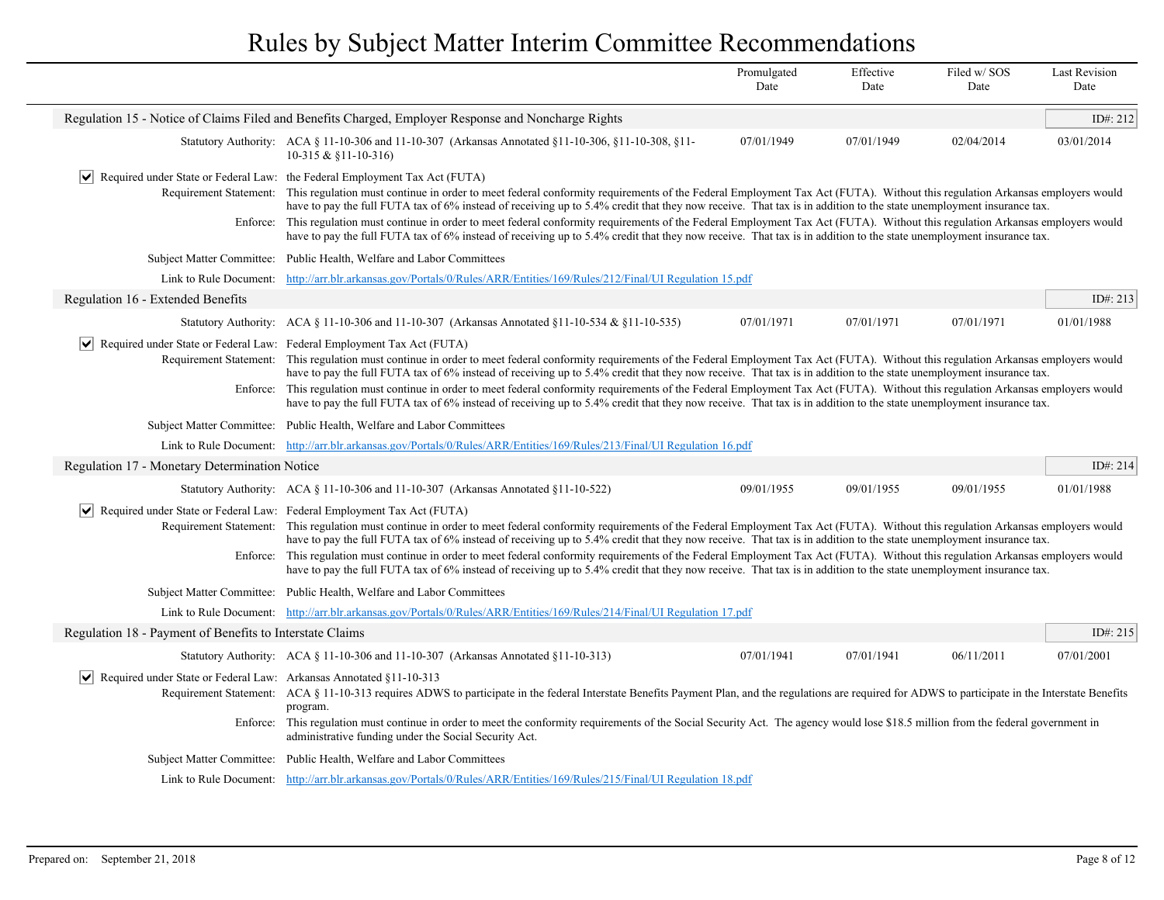|                                                                                                   |                                                                                                                                                                                                                                                                                                                                                                                                                                                                                                                                                                                                                                                                                                                                                                                                                                 | Promulgated<br>Date | Effective<br>Date | Filed w/SOS<br>Date | <b>Last Revision</b><br>Date |
|---------------------------------------------------------------------------------------------------|---------------------------------------------------------------------------------------------------------------------------------------------------------------------------------------------------------------------------------------------------------------------------------------------------------------------------------------------------------------------------------------------------------------------------------------------------------------------------------------------------------------------------------------------------------------------------------------------------------------------------------------------------------------------------------------------------------------------------------------------------------------------------------------------------------------------------------|---------------------|-------------------|---------------------|------------------------------|
|                                                                                                   | Regulation 15 - Notice of Claims Filed and Benefits Charged, Employer Response and Noncharge Rights                                                                                                                                                                                                                                                                                                                                                                                                                                                                                                                                                                                                                                                                                                                             |                     |                   |                     | ID#: 212                     |
|                                                                                                   | Statutory Authority: ACA § 11-10-306 and 11-10-307 (Arkansas Annotated §11-10-306, §11-10-308, §11-<br>$10-315 & $11-10-316$                                                                                                                                                                                                                                                                                                                                                                                                                                                                                                                                                                                                                                                                                                    | 07/01/1949          | 07/01/1949        | 02/04/2014          | 03/01/2014                   |
|                                                                                                   | $ \mathbf{v} $ Required under State or Federal Law: the Federal Employment Tax Act (FUTA)<br>Requirement Statement: This regulation must continue in order to meet federal conformity requirements of the Federal Employment Tax Act (FUTA). Without this regulation Arkansas employers would<br>have to pay the full FUTA tax of 6% instead of receiving up to 5.4% credit that they now receive. That tax is in addition to the state unemployment insurance tax.<br>Enforce: This regulation must continue in order to meet federal conformity requirements of the Federal Employment Tax Act (FUTA). Without this regulation Arkansas employers would<br>have to pay the full FUTA tax of 6% instead of receiving up to 5.4% credit that they now receive. That tax is in addition to the state unemployment insurance tax. |                     |                   |                     |                              |
|                                                                                                   | Subject Matter Committee: Public Health, Welfare and Labor Committees                                                                                                                                                                                                                                                                                                                                                                                                                                                                                                                                                                                                                                                                                                                                                           |                     |                   |                     |                              |
|                                                                                                   | Link to Rule Document: http://arr.blr.arkansas.gov/Portals/0/Rules/ARR/Entities/169/Rules/212/Final/UI Regulation 15.pdf                                                                                                                                                                                                                                                                                                                                                                                                                                                                                                                                                                                                                                                                                                        |                     |                   |                     |                              |
| Regulation 16 - Extended Benefits                                                                 |                                                                                                                                                                                                                                                                                                                                                                                                                                                                                                                                                                                                                                                                                                                                                                                                                                 |                     |                   |                     | ID#: 213                     |
|                                                                                                   | Statutory Authority: ACA § 11-10-306 and 11-10-307 (Arkansas Annotated §11-10-534 & §11-10-535)                                                                                                                                                                                                                                                                                                                                                                                                                                                                                                                                                                                                                                                                                                                                 | 07/01/1971          | 07/01/1971        | 07/01/1971          | 01/01/1988                   |
| Enforce:                                                                                          | Required under State or Federal Law: Federal Employment Tax Act (FUTA)<br>Requirement Statement: This regulation must continue in order to meet federal conformity requirements of the Federal Employment Tax Act (FUTA). Without this regulation Arkansas employers would<br>have to pay the full FUTA tax of 6% instead of receiving up to 5.4% credit that they now receive. That tax is in addition to the state unemployment insurance tax.<br>This regulation must continue in order to meet federal conformity requirements of the Federal Employment Tax Act (FUTA). Without this regulation Arkansas employers would<br>have to pay the full FUTA tax of 6% instead of receiving up to 5.4% credit that they now receive. That tax is in addition to the state unemployment insurance tax.                             |                     |                   |                     |                              |
|                                                                                                   | Subject Matter Committee: Public Health, Welfare and Labor Committees                                                                                                                                                                                                                                                                                                                                                                                                                                                                                                                                                                                                                                                                                                                                                           |                     |                   |                     |                              |
|                                                                                                   | Link to Rule Document: http://arr.blr.arkansas.gov/Portals/0/Rules/ARR/Entities/169/Rules/213/Final/UI Regulation 16.pdf                                                                                                                                                                                                                                                                                                                                                                                                                                                                                                                                                                                                                                                                                                        |                     |                   |                     |                              |
| Regulation 17 - Monetary Determination Notice                                                     |                                                                                                                                                                                                                                                                                                                                                                                                                                                                                                                                                                                                                                                                                                                                                                                                                                 |                     |                   |                     | ID#: 214                     |
|                                                                                                   | Statutory Authority: ACA § 11-10-306 and 11-10-307 (Arkansas Annotated §11-10-522)                                                                                                                                                                                                                                                                                                                                                                                                                                                                                                                                                                                                                                                                                                                                              | 09/01/1955          | 09/01/1955        | 09/01/1955          | 01/01/1988                   |
| $ \bm{\vee} $                                                                                     | Required under State or Federal Law: Federal Employment Tax Act (FUTA)<br>Requirement Statement: This regulation must continue in order to meet federal conformity requirements of the Federal Employment Tax Act (FUTA). Without this regulation Arkansas employers would<br>have to pay the full FUTA tax of 6% instead of receiving up to 5.4% credit that they now receive. That tax is in addition to the state unemployment insurance tax.<br>Enforce: This regulation must continue in order to meet federal conformity requirements of the Federal Employment Tax Act (FUTA). Without this regulation Arkansas employers would<br>have to pay the full FUTA tax of 6% instead of receiving up to 5.4% credit that they now receive. That tax is in addition to the state unemployment insurance tax.                    |                     |                   |                     |                              |
|                                                                                                   | Subject Matter Committee: Public Health, Welfare and Labor Committees                                                                                                                                                                                                                                                                                                                                                                                                                                                                                                                                                                                                                                                                                                                                                           |                     |                   |                     |                              |
|                                                                                                   | Link to Rule Document: http://arr.blr.arkansas.gov/Portals/0/Rules/ARR/Entities/169/Rules/214/Final/UI Regulation 17.pdf                                                                                                                                                                                                                                                                                                                                                                                                                                                                                                                                                                                                                                                                                                        |                     |                   |                     |                              |
| Regulation 18 - Payment of Benefits to Interstate Claims                                          |                                                                                                                                                                                                                                                                                                                                                                                                                                                                                                                                                                                                                                                                                                                                                                                                                                 |                     |                   |                     | ID#: 215                     |
|                                                                                                   | Statutory Authority: ACA § 11-10-306 and 11-10-307 (Arkansas Annotated §11-10-313)                                                                                                                                                                                                                                                                                                                                                                                                                                                                                                                                                                                                                                                                                                                                              | 07/01/1941          | 07/01/1941        | 06/11/2011          | 07/01/2001                   |
| Required under State or Federal Law: Arkansas Annotated §11-10-313<br>$\vert\bm{\mathsf{v}}\vert$ | Requirement Statement: ACA § 11-10-313 requires ADWS to participate in the federal Interstate Benefits Payment Plan, and the regulations are required for ADWS to participate in the Interstate Benefits<br>program.<br>Enforce: This regulation must continue in order to meet the conformity requirements of the Social Security Act. The agency would lose \$18.5 million from the federal government in<br>administrative funding under the Social Security Act.                                                                                                                                                                                                                                                                                                                                                            |                     |                   |                     |                              |
|                                                                                                   | Subject Matter Committee: Public Health, Welfare and Labor Committees                                                                                                                                                                                                                                                                                                                                                                                                                                                                                                                                                                                                                                                                                                                                                           |                     |                   |                     |                              |
|                                                                                                   | Link to Rule Document: http://arr.blr.arkansas.gov/Portals/0/Rules/ARR/Entities/169/Rules/215/Final/UI Regulation 18.pdf                                                                                                                                                                                                                                                                                                                                                                                                                                                                                                                                                                                                                                                                                                        |                     |                   |                     |                              |
|                                                                                                   |                                                                                                                                                                                                                                                                                                                                                                                                                                                                                                                                                                                                                                                                                                                                                                                                                                 |                     |                   |                     |                              |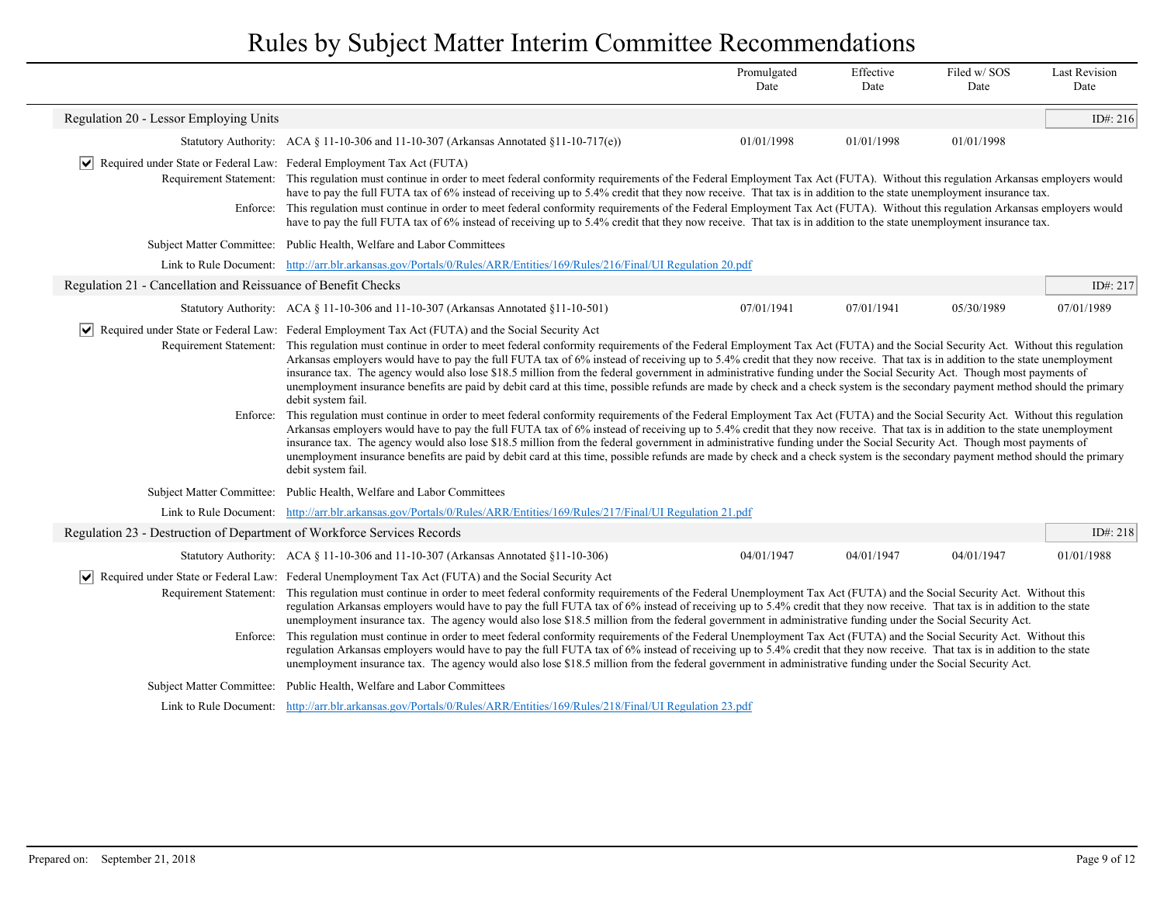|                                                                                       |                                                                                                                                                                                                                                                                                                                                                                                                                                                                                                                                                                                                                                                                                                                                                                                                                                                                                                                                                                                                                                                                                                                                                                                                                                                                                                                                                                                                                                                                                                                     | Promulgated<br>Date | Effective<br>Date | Filed w/SOS<br>Date | <b>Last Revision</b><br>Date |
|---------------------------------------------------------------------------------------|---------------------------------------------------------------------------------------------------------------------------------------------------------------------------------------------------------------------------------------------------------------------------------------------------------------------------------------------------------------------------------------------------------------------------------------------------------------------------------------------------------------------------------------------------------------------------------------------------------------------------------------------------------------------------------------------------------------------------------------------------------------------------------------------------------------------------------------------------------------------------------------------------------------------------------------------------------------------------------------------------------------------------------------------------------------------------------------------------------------------------------------------------------------------------------------------------------------------------------------------------------------------------------------------------------------------------------------------------------------------------------------------------------------------------------------------------------------------------------------------------------------------|---------------------|-------------------|---------------------|------------------------------|
| Regulation 20 - Lessor Employing Units                                                |                                                                                                                                                                                                                                                                                                                                                                                                                                                                                                                                                                                                                                                                                                                                                                                                                                                                                                                                                                                                                                                                                                                                                                                                                                                                                                                                                                                                                                                                                                                     |                     |                   |                     | ID#: 216                     |
|                                                                                       | Statutory Authority: ACA $\S$ 11-10-306 and 11-10-307 (Arkansas Annotated $\S$ 11-10-717(e))                                                                                                                                                                                                                                                                                                                                                                                                                                                                                                                                                                                                                                                                                                                                                                                                                                                                                                                                                                                                                                                                                                                                                                                                                                                                                                                                                                                                                        | 01/01/1998          | 01/01/1998        | 01/01/1998          |                              |
| $ \mathbf{v} $ Required under State or Federal Law: Federal Employment Tax Act (FUTA) | Requirement Statement: This regulation must continue in order to meet federal conformity requirements of the Federal Employment Tax Act (FUTA). Without this regulation Arkansas employers would<br>have to pay the full FUTA tax of 6% instead of receiving up to 5.4% credit that they now receive. That tax is in addition to the state unemployment insurance tax.<br>Enforce: This regulation must continue in order to meet federal conformity requirements of the Federal Employment Tax Act (FUTA). Without this regulation Arkansas employers would<br>have to pay the full FUTA tax of 6% instead of receiving up to 5.4% credit that they now receive. That tax is in addition to the state unemployment insurance tax.                                                                                                                                                                                                                                                                                                                                                                                                                                                                                                                                                                                                                                                                                                                                                                                  |                     |                   |                     |                              |
|                                                                                       | Subject Matter Committee: Public Health, Welfare and Labor Committees                                                                                                                                                                                                                                                                                                                                                                                                                                                                                                                                                                                                                                                                                                                                                                                                                                                                                                                                                                                                                                                                                                                                                                                                                                                                                                                                                                                                                                               |                     |                   |                     |                              |
|                                                                                       | Link to Rule Document: http://arr.blr.arkansas.gov/Portals/0/Rules/ARR/Entities/169/Rules/216/Final/UI Regulation 20.pdf                                                                                                                                                                                                                                                                                                                                                                                                                                                                                                                                                                                                                                                                                                                                                                                                                                                                                                                                                                                                                                                                                                                                                                                                                                                                                                                                                                                            |                     |                   |                     |                              |
| Regulation 21 - Cancellation and Reissuance of Benefit Checks                         |                                                                                                                                                                                                                                                                                                                                                                                                                                                                                                                                                                                                                                                                                                                                                                                                                                                                                                                                                                                                                                                                                                                                                                                                                                                                                                                                                                                                                                                                                                                     |                     |                   |                     | ID#: 217                     |
|                                                                                       | Statutory Authority: ACA § 11-10-306 and 11-10-307 (Arkansas Annotated §11-10-501)                                                                                                                                                                                                                                                                                                                                                                                                                                                                                                                                                                                                                                                                                                                                                                                                                                                                                                                                                                                                                                                                                                                                                                                                                                                                                                                                                                                                                                  | 07/01/1941          | 07/01/1941        | 05/30/1989          | 07/01/1989                   |
|                                                                                       | $ \mathbf{v} $ Required under State or Federal Law: Federal Employment Tax Act (FUTA) and the Social Security Act                                                                                                                                                                                                                                                                                                                                                                                                                                                                                                                                                                                                                                                                                                                                                                                                                                                                                                                                                                                                                                                                                                                                                                                                                                                                                                                                                                                                   |                     |                   |                     |                              |
| Enforce:                                                                              | Requirement Statement: This regulation must continue in order to meet federal conformity requirements of the Federal Employment Tax Act (FUTA) and the Social Security Act. Without this regulation<br>Arkansas employers would have to pay the full FUTA tax of 6% instead of receiving up to 5.4% credit that they now receive. That tax is in addition to the state unemployment<br>insurance tax. The agency would also lose \$18.5 million from the federal government in administrative funding under the Social Security Act. Though most payments of<br>unemployment insurance benefits are paid by debit card at this time, possible refunds are made by check and a check system is the secondary payment method should the primary<br>debit system fail.<br>This regulation must continue in order to meet federal conformity requirements of the Federal Employment Tax Act (FUTA) and the Social Security Act. Without this regulation<br>Arkansas employers would have to pay the full FUTA tax of 6% instead of receiving up to 5.4% credit that they now receive. That tax is in addition to the state unemployment<br>insurance tax. The agency would also lose \$18.5 million from the federal government in administrative funding under the Social Security Act. Though most payments of<br>unemployment insurance benefits are paid by debit card at this time, possible refunds are made by check and a check system is the secondary payment method should the primary<br>debit system fail. |                     |                   |                     |                              |
|                                                                                       | Subject Matter Committee: Public Health, Welfare and Labor Committees                                                                                                                                                                                                                                                                                                                                                                                                                                                                                                                                                                                                                                                                                                                                                                                                                                                                                                                                                                                                                                                                                                                                                                                                                                                                                                                                                                                                                                               |                     |                   |                     |                              |
|                                                                                       | Link to Rule Document: http://arr.blr.arkansas.gov/Portals/0/Rules/ARR/Entities/169/Rules/217/Final/UI Regulation 21.pdf                                                                                                                                                                                                                                                                                                                                                                                                                                                                                                                                                                                                                                                                                                                                                                                                                                                                                                                                                                                                                                                                                                                                                                                                                                                                                                                                                                                            |                     |                   |                     |                              |
| Regulation 23 - Destruction of Department of Workforce Services Records               |                                                                                                                                                                                                                                                                                                                                                                                                                                                                                                                                                                                                                                                                                                                                                                                                                                                                                                                                                                                                                                                                                                                                                                                                                                                                                                                                                                                                                                                                                                                     |                     |                   |                     | ID#: 218                     |
|                                                                                       | Statutory Authority: ACA § 11-10-306 and 11-10-307 (Arkansas Annotated §11-10-306)                                                                                                                                                                                                                                                                                                                                                                                                                                                                                                                                                                                                                                                                                                                                                                                                                                                                                                                                                                                                                                                                                                                                                                                                                                                                                                                                                                                                                                  | 04/01/1947          | 04/01/1947        | 04/01/1947          | 01/01/1988                   |
| Enforce:                                                                              | √ Required under State or Federal Law: Federal Unemployment Tax Act (FUTA) and the Social Security Act<br>Requirement Statement: This regulation must continue in order to meet federal conformity requirements of the Federal Unemployment Tax Act (FUTA) and the Social Security Act. Without this<br>regulation Arkansas employers would have to pay the full FUTA tax of 6% instead of receiving up to 5.4% credit that they now receive. That tax is in addition to the state<br>unemployment insurance tax. The agency would also lose \$18.5 million from the federal government in administrative funding under the Social Security Act.<br>This regulation must continue in order to meet federal conformity requirements of the Federal Unemployment Tax Act (FUTA) and the Social Security Act. Without this                                                                                                                                                                                                                                                                                                                                                                                                                                                                                                                                                                                                                                                                                             |                     |                   |                     |                              |
|                                                                                       | regulation Arkansas employers would have to pay the full FUTA tax of 6% instead of receiving up to 5.4% credit that they now receive. That tax is in addition to the state<br>unemployment insurance tax. The agency would also lose \$18.5 million from the federal government in administrative funding under the Social Security Act.                                                                                                                                                                                                                                                                                                                                                                                                                                                                                                                                                                                                                                                                                                                                                                                                                                                                                                                                                                                                                                                                                                                                                                            |                     |                   |                     |                              |
|                                                                                       | Subject Matter Committee: Public Health, Welfare and Labor Committees                                                                                                                                                                                                                                                                                                                                                                                                                                                                                                                                                                                                                                                                                                                                                                                                                                                                                                                                                                                                                                                                                                                                                                                                                                                                                                                                                                                                                                               |                     |                   |                     |                              |
|                                                                                       | Link to Rule Document: http://arr.blr.arkansas.gov/Portals/0/Rules/ARR/Entities/169/Rules/218/Final/UI Regulation 23.pdf                                                                                                                                                                                                                                                                                                                                                                                                                                                                                                                                                                                                                                                                                                                                                                                                                                                                                                                                                                                                                                                                                                                                                                                                                                                                                                                                                                                            |                     |                   |                     |                              |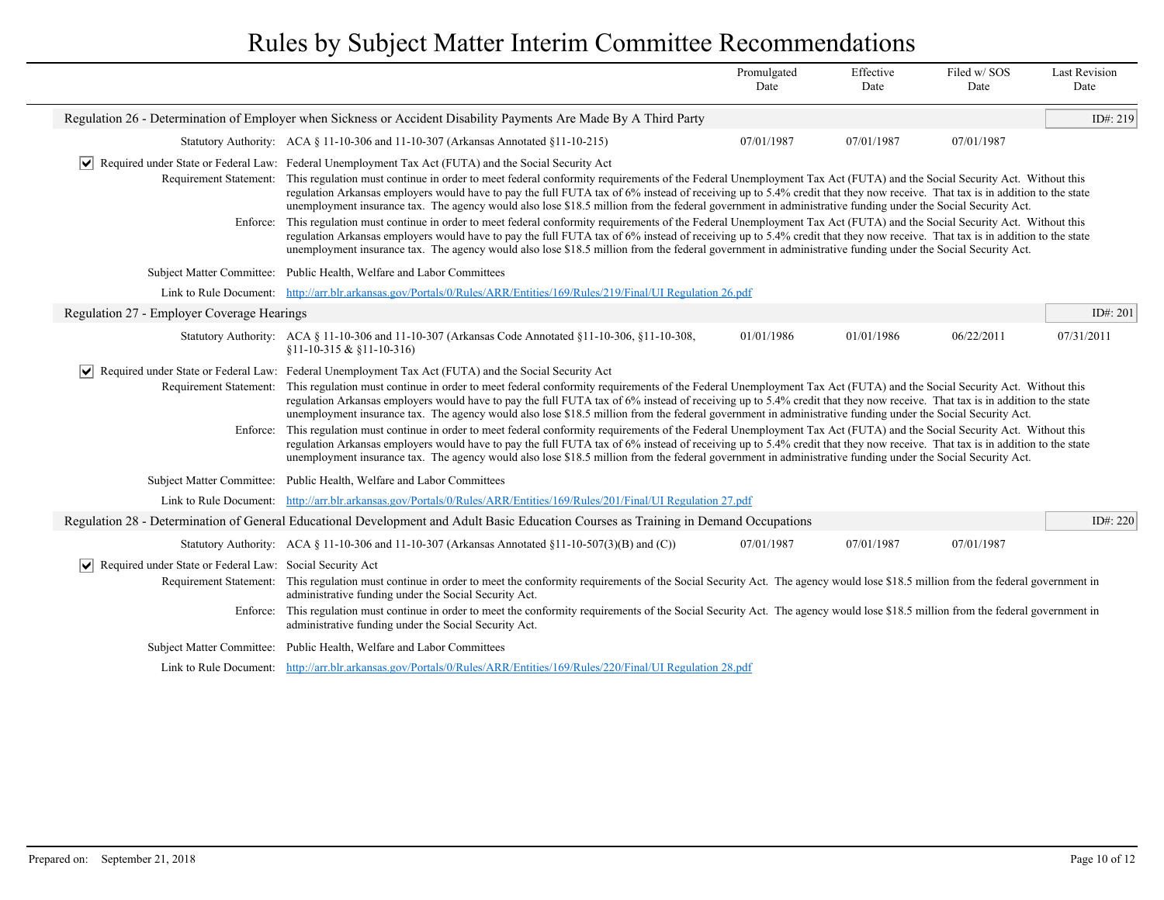|                                                                         |                                                                                                                                                                                                                                                                                                                                                                                                                                                                                                                                        | Promulgated<br>Date | Effective<br>Date | Filed w/SOS<br>Date | <b>Last Revision</b><br>Date |
|-------------------------------------------------------------------------|----------------------------------------------------------------------------------------------------------------------------------------------------------------------------------------------------------------------------------------------------------------------------------------------------------------------------------------------------------------------------------------------------------------------------------------------------------------------------------------------------------------------------------------|---------------------|-------------------|---------------------|------------------------------|
|                                                                         | Regulation 26 - Determination of Employer when Sickness or Accident Disability Payments Are Made By A Third Party                                                                                                                                                                                                                                                                                                                                                                                                                      |                     |                   |                     | ID#: $219$                   |
|                                                                         | Statutory Authority: ACA § 11-10-306 and 11-10-307 (Arkansas Annotated §11-10-215)                                                                                                                                                                                                                                                                                                                                                                                                                                                     | 07/01/1987          | 07/01/1987        | 07/01/1987          |                              |
|                                                                         | Required under State or Federal Law: Federal Unemployment Tax Act (FUTA) and the Social Security Act                                                                                                                                                                                                                                                                                                                                                                                                                                   |                     |                   |                     |                              |
|                                                                         | Requirement Statement: This regulation must continue in order to meet federal conformity requirements of the Federal Unemployment Tax Act (FUTA) and the Social Security Act. Without this<br>regulation Arkansas employers would have to pay the full FUTA tax of 6% instead of receiving up to 5.4% credit that they now receive. That tax is in addition to the state<br>unemployment insurance tax. The agency would also lose \$18.5 million from the federal government in administrative funding under the Social Security Act. |                     |                   |                     |                              |
| Enforce:                                                                | This regulation must continue in order to meet federal conformity requirements of the Federal Unemployment Tax Act (FUTA) and the Social Security Act. Without this<br>regulation Arkansas employers would have to pay the full FUTA tax of 6% instead of receiving up to 5.4% credit that they now receive. That tax is in addition to the state<br>unemployment insurance tax. The agency would also lose \$18.5 million from the federal government in administrative funding under the Social Security Act.                        |                     |                   |                     |                              |
|                                                                         | Subject Matter Committee: Public Health, Welfare and Labor Committees                                                                                                                                                                                                                                                                                                                                                                                                                                                                  |                     |                   |                     |                              |
|                                                                         | Link to Rule Document: http://arr.blr.arkansas.gov/Portals/0/Rules/ARR/Entities/169/Rules/219/Final/UI Regulation 26.pdf                                                                                                                                                                                                                                                                                                                                                                                                               |                     |                   |                     |                              |
| Regulation 27 - Employer Coverage Hearings                              |                                                                                                                                                                                                                                                                                                                                                                                                                                                                                                                                        |                     |                   |                     | ID#: 201                     |
|                                                                         | Statutory Authority: ACA § 11-10-306 and 11-10-307 (Arkansas Code Annotated §11-10-306, §11-10-308,<br>$$11-10-315 & $11-10-316$                                                                                                                                                                                                                                                                                                                                                                                                       | 01/01/1986          | 01/01/1986        | 06/22/2011          | 07/31/2011                   |
|                                                                         | $\vert \bullet \vert$ Required under State or Federal Law: Federal Unemployment Tax Act (FUTA) and the Social Security Act                                                                                                                                                                                                                                                                                                                                                                                                             |                     |                   |                     |                              |
| Requirement Statement:                                                  | This regulation must continue in order to meet federal conformity requirements of the Federal Unemployment Tax Act (FUTA) and the Social Security Act. Without this<br>regulation Arkansas employers would have to pay the full FUTA tax of 6% instead of receiving up to 5.4% credit that they now receive. That tax is in addition to the state<br>unemployment insurance tax. The agency would also lose \$18.5 million from the federal government in administrative funding under the Social Security Act.                        |                     |                   |                     |                              |
| Enforce:                                                                | This regulation must continue in order to meet federal conformity requirements of the Federal Unemployment Tax Act (FUTA) and the Social Security Act. Without this<br>regulation Arkansas employers would have to pay the full FUTA tax of 6% instead of receiving up to 5.4% credit that they now receive. That tax is in addition to the state<br>unemployment insurance tax. The agency would also lose \$18.5 million from the federal government in administrative funding under the Social Security Act.                        |                     |                   |                     |                              |
|                                                                         | Subject Matter Committee: Public Health, Welfare and Labor Committees                                                                                                                                                                                                                                                                                                                                                                                                                                                                  |                     |                   |                     |                              |
|                                                                         | Link to Rule Document: http://arr.blr.arkansas.gov/Portals/0/Rules/ARR/Entities/169/Rules/201/Final/UI Regulation 27.pdf                                                                                                                                                                                                                                                                                                                                                                                                               |                     |                   |                     |                              |
|                                                                         | Regulation 28 - Determination of General Educational Development and Adult Basic Education Courses as Training in Demand Occupations                                                                                                                                                                                                                                                                                                                                                                                                   |                     |                   |                     | ID#: 220                     |
|                                                                         | Statutory Authority: ACA § 11-10-306 and 11-10-307 (Arkansas Annotated §11-10-507(3)(B) and (C))                                                                                                                                                                                                                                                                                                                                                                                                                                       | 07/01/1987          | 07/01/1987        | 07/01/1987          |                              |
| $ \mathbf{v} $ Required under State or Federal Law: Social Security Act |                                                                                                                                                                                                                                                                                                                                                                                                                                                                                                                                        |                     |                   |                     |                              |
|                                                                         | Requirement Statement: This regulation must continue in order to meet the conformity requirements of the Social Security Act. The agency would lose \$18.5 million from the federal government in<br>administrative funding under the Social Security Act.                                                                                                                                                                                                                                                                             |                     |                   |                     |                              |
|                                                                         | Enforce: This regulation must continue in order to meet the conformity requirements of the Social Security Act. The agency would lose \$18.5 million from the federal government in<br>administrative funding under the Social Security Act.                                                                                                                                                                                                                                                                                           |                     |                   |                     |                              |
|                                                                         | Subject Matter Committee: Public Health, Welfare and Labor Committees                                                                                                                                                                                                                                                                                                                                                                                                                                                                  |                     |                   |                     |                              |
|                                                                         | Link to Rule Document: http://arr.blr.arkansas.gov/Portals/0/Rules/ARR/Entities/169/Rules/220/Final/UI Regulation 28.pdf                                                                                                                                                                                                                                                                                                                                                                                                               |                     |                   |                     |                              |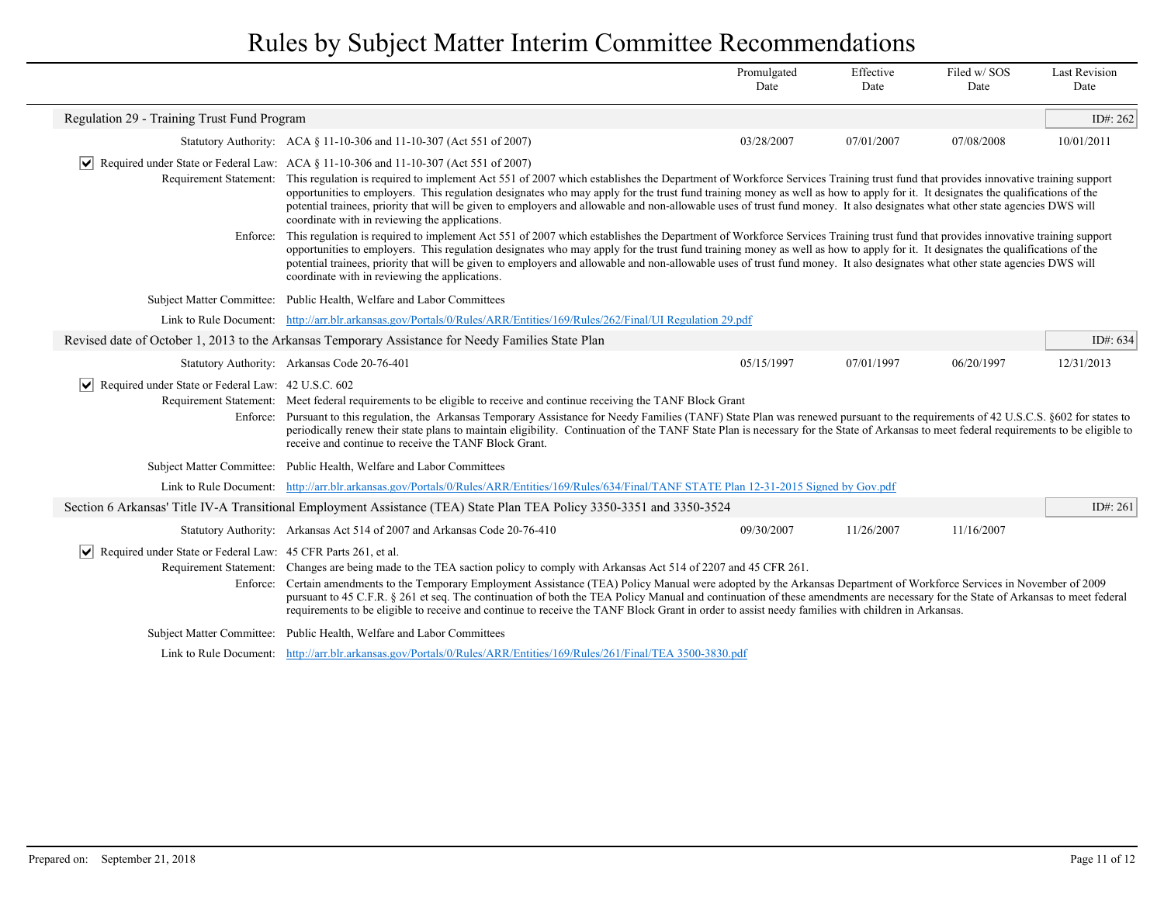|                                                                                          |                                                                                                                                                                                                                                                                                                                                                                                                                                                                                                                                                                                                                                           | Promulgated<br>Date | Effective<br>Date | Filed w/SOS<br>Date | <b>Last Revision</b><br>Date |
|------------------------------------------------------------------------------------------|-------------------------------------------------------------------------------------------------------------------------------------------------------------------------------------------------------------------------------------------------------------------------------------------------------------------------------------------------------------------------------------------------------------------------------------------------------------------------------------------------------------------------------------------------------------------------------------------------------------------------------------------|---------------------|-------------------|---------------------|------------------------------|
| Regulation 29 - Training Trust Fund Program                                              |                                                                                                                                                                                                                                                                                                                                                                                                                                                                                                                                                                                                                                           |                     |                   |                     | ID#: 262                     |
|                                                                                          | Statutory Authority: ACA § 11-10-306 and 11-10-307 (Act 551 of 2007)                                                                                                                                                                                                                                                                                                                                                                                                                                                                                                                                                                      | 03/28/2007          | 07/01/2007        | 07/08/2008          | 10/01/2011                   |
|                                                                                          | $\vert \mathbf{v} \vert$ Required under State or Federal Law: ACA § 11-10-306 and 11-10-307 (Act 551 of 2007)                                                                                                                                                                                                                                                                                                                                                                                                                                                                                                                             |                     |                   |                     |                              |
|                                                                                          | Requirement Statement: This regulation is required to implement Act 551 of 2007 which establishes the Department of Workforce Services Training trust fund that provides innovative training support<br>opportunities to employers. This regulation designates who may apply for the trust fund training money as well as how to apply for it. It designates the qualifications of the<br>potential trainees, priority that will be given to employers and allowable and non-allowable uses of trust fund money. It also designates what other state agencies DWS will<br>coordinate with in reviewing the applications.                  |                     |                   |                     |                              |
| Enforce:                                                                                 | This regulation is required to implement Act 551 of 2007 which establishes the Department of Workforce Services Training trust fund that provides innovative training support<br>opportunities to employers. This regulation designates who may apply for the trust fund training money as well as how to apply for it. It designates the qualifications of the<br>potential trainees, priority that will be given to employers and allowable and non-allowable uses of trust fund money. It also designates what other state agencies DWS will<br>coordinate with in reviewing the applications.                                         |                     |                   |                     |                              |
|                                                                                          | Subject Matter Committee: Public Health, Welfare and Labor Committees                                                                                                                                                                                                                                                                                                                                                                                                                                                                                                                                                                     |                     |                   |                     |                              |
| Link to Rule Document:                                                                   | http://arr.blr.arkansas.gov/Portals/0/Rules/ARR/Entities/169/Rules/262/Final/UI Regulation 29.pdf                                                                                                                                                                                                                                                                                                                                                                                                                                                                                                                                         |                     |                   |                     |                              |
|                                                                                          | Revised date of October 1, 2013 to the Arkansas Temporary Assistance for Needy Families State Plan                                                                                                                                                                                                                                                                                                                                                                                                                                                                                                                                        |                     |                   |                     | ID#: 634                     |
|                                                                                          | Statutory Authority: Arkansas Code 20-76-401                                                                                                                                                                                                                                                                                                                                                                                                                                                                                                                                                                                              | 05/15/1997          | 07/01/1997        | 06/20/1997          | 12/31/2013                   |
| $ \mathbf{v} $ Required under State or Federal Law: 42 U.S.C. 602                        | Requirement Statement: Meet federal requirements to be eligible to receive and continue receiving the TANF Block Grant<br>Enforce: Pursuant to this regulation, the Arkansas Temporary Assistance for Needy Families (TANF) State Plan was renewed pursuant to the requirements of 42 U.S.C.S. §602 for states to<br>periodically renew their state plans to maintain eligibility. Continuation of the TANF State Plan is necessary for the State of Arkansas to meet federal requirements to be eligible to<br>receive and continue to receive the TANF Block Grant.                                                                     |                     |                   |                     |                              |
|                                                                                          | Subject Matter Committee: Public Health, Welfare and Labor Committees                                                                                                                                                                                                                                                                                                                                                                                                                                                                                                                                                                     |                     |                   |                     |                              |
|                                                                                          | Link to Rule Document: http://arr.blr.arkansas.gov/Portals/0/Rules/ARR/Entities/169/Rules/634/Final/TANF STATE Plan 12-31-2015 Signed by Gov.pdf                                                                                                                                                                                                                                                                                                                                                                                                                                                                                          |                     |                   |                     |                              |
|                                                                                          | Section 6 Arkansas' Title IV-A Transitional Employment Assistance (TEA) State Plan TEA Policy 3350-3351 and 3350-3524                                                                                                                                                                                                                                                                                                                                                                                                                                                                                                                     |                     |                   |                     | ID#: $261$                   |
|                                                                                          | Statutory Authority: Arkansas Act 514 of 2007 and Arkansas Code 20-76-410                                                                                                                                                                                                                                                                                                                                                                                                                                                                                                                                                                 | 09/30/2007          | 11/26/2007        | 11/16/2007          |                              |
| $ \mathbf{v} $ Required under State or Federal Law: 45 CFR Parts 261, et al.<br>Enforce: | Requirement Statement: Changes are being made to the TEA saction policy to comply with Arkansas Act 514 of 2207 and 45 CFR 261.<br>Certain amendments to the Temporary Employment Assistance (TEA) Policy Manual were adopted by the Arkansas Department of Workforce Services in November of 2009<br>pursuant to 45 C.F.R. § 261 et seq. The continuation of both the TEA Policy Manual and continuation of these amendments are necessary for the State of Arkansas to meet federal<br>requirements to be eligible to receive and continue to receive the TANF Block Grant in order to assist needy families with children in Arkansas. |                     |                   |                     |                              |
|                                                                                          | Subject Matter Committee: Public Health, Welfare and Labor Committees                                                                                                                                                                                                                                                                                                                                                                                                                                                                                                                                                                     |                     |                   |                     |                              |
|                                                                                          | Link to Rule Document: http://arr.blr.arkansas.gov/Portals/0/Rules/ARR/Entities/169/Rules/261/Final/TEA 3500-3830.pdf                                                                                                                                                                                                                                                                                                                                                                                                                                                                                                                     |                     |                   |                     |                              |